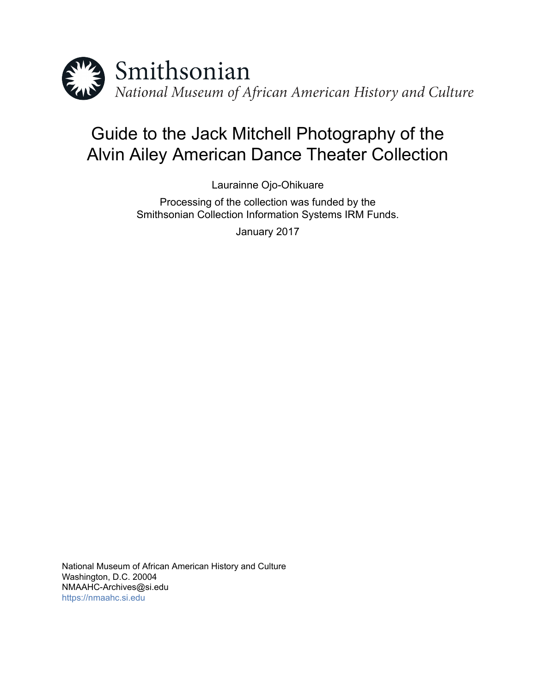

# Guide to the Jack Mitchell Photography of the Alvin Ailey American Dance Theater Collection

Laurainne Ojo-Ohikuare

Processing of the collection was funded by the Smithsonian Collection Information Systems IRM Funds.

January 2017

National Museum of African American History and Culture Washington, D.C. 20004 NMAAHC-Archives@si.edu <https://nmaahc.si.edu>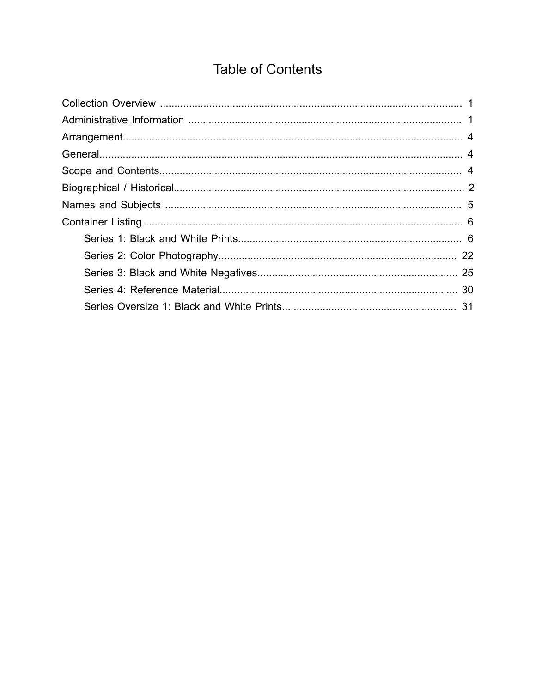# **Table of Contents**

<span id="page-1-0"></span>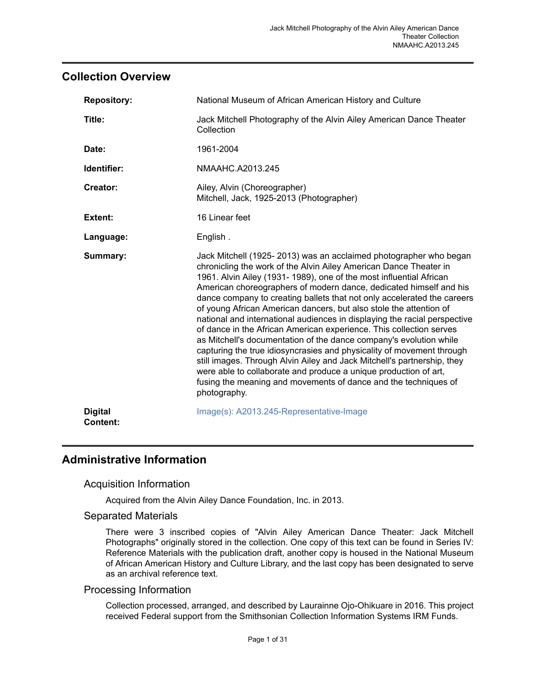### <span id="page-2-0"></span>**Collection Overview**

| <b>Repository:</b>                | National Museum of African American History and Culture                                                                                                                                                                                                                                                                                                                                                                                                                                                                                                                                                                                                                                                                                                                                                                                                                                                                                                                  |
|-----------------------------------|--------------------------------------------------------------------------------------------------------------------------------------------------------------------------------------------------------------------------------------------------------------------------------------------------------------------------------------------------------------------------------------------------------------------------------------------------------------------------------------------------------------------------------------------------------------------------------------------------------------------------------------------------------------------------------------------------------------------------------------------------------------------------------------------------------------------------------------------------------------------------------------------------------------------------------------------------------------------------|
| Title:                            | Jack Mitchell Photography of the Alvin Ailey American Dance Theater<br>Collection                                                                                                                                                                                                                                                                                                                                                                                                                                                                                                                                                                                                                                                                                                                                                                                                                                                                                        |
| Date:                             | 1961-2004                                                                                                                                                                                                                                                                                                                                                                                                                                                                                                                                                                                                                                                                                                                                                                                                                                                                                                                                                                |
| Identifier:                       | NMAAHC.A2013.245                                                                                                                                                                                                                                                                                                                                                                                                                                                                                                                                                                                                                                                                                                                                                                                                                                                                                                                                                         |
| Creator:                          | Ailey, Alvin (Choreographer)<br>Mitchell, Jack, 1925-2013 (Photographer)                                                                                                                                                                                                                                                                                                                                                                                                                                                                                                                                                                                                                                                                                                                                                                                                                                                                                                 |
| Extent:                           | 16 Linear feet                                                                                                                                                                                                                                                                                                                                                                                                                                                                                                                                                                                                                                                                                                                                                                                                                                                                                                                                                           |
| Language:                         | English.                                                                                                                                                                                                                                                                                                                                                                                                                                                                                                                                                                                                                                                                                                                                                                                                                                                                                                                                                                 |
| Summary:                          | Jack Mitchell (1925-2013) was an acclaimed photographer who began<br>chronicling the work of the Alvin Ailey American Dance Theater in<br>1961. Alvin Ailey (1931-1989), one of the most influential African<br>American choreographers of modern dance, dedicated himself and his<br>dance company to creating ballets that not only accelerated the careers<br>of young African American dancers, but also stole the attention of<br>national and international audiences in displaying the racial perspective<br>of dance in the African American experience. This collection serves<br>as Mitchell's documentation of the dance company's evolution while<br>capturing the true idiosyncrasies and physicality of movement through<br>still images. Through Alvin Ailey and Jack Mitchell's partnership, they<br>were able to collaborate and produce a unique production of art,<br>fusing the meaning and movements of dance and the techniques of<br>photography. |
| <b>Digital</b><br><b>Content:</b> | Image(s): A2013.245-Representative-Image                                                                                                                                                                                                                                                                                                                                                                                                                                                                                                                                                                                                                                                                                                                                                                                                                                                                                                                                 |

### <span id="page-2-1"></span>**Administrative Information**

### Acquisition Information

Acquired from the Alvin Ailey Dance Foundation, Inc. in 2013.

#### Separated Materials

There were 3 inscribed copies of "Alvin Ailey American Dance Theater: Jack Mitchell Photographs" originally stored in the collection. One copy of this text can be found in Series IV: Reference Materials with the publication draft, another copy is housed in the National Museum of African American History and Culture Library, and the last copy has been designated to serve as an archival reference text.

#### Processing Information

Collection processed, arranged, and described by Laurainne Ojo-Ohikuare in 2016. This project received Federal support from the Smithsonian Collection Information Systems IRM Funds.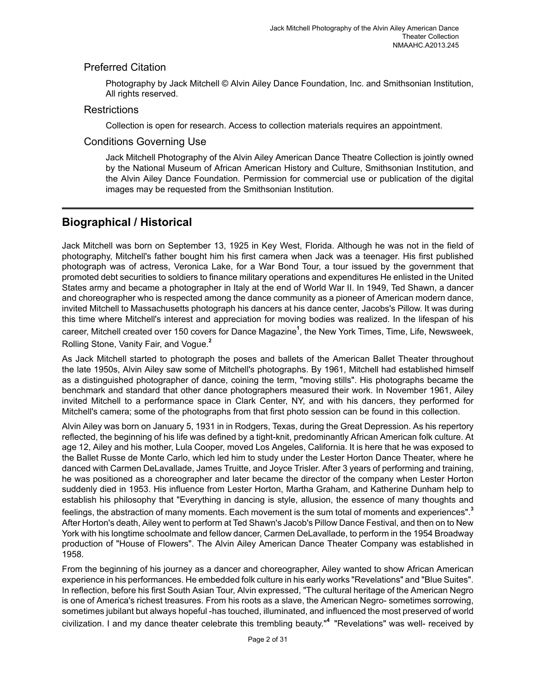### Preferred Citation

Photography by Jack Mitchell © Alvin Ailey Dance Foundation, Inc. and Smithsonian Institution, All rights reserved.

### **Restrictions**

Collection is open for research. Access to collection materials requires an appointment.

#### Conditions Governing Use

Jack Mitchell Photography of the Alvin Ailey American Dance Theatre Collection is jointly owned by the National Museum of African American History and Culture, Smithsonian Institution, and the Alvin Ailey Dance Foundation. Permission for commercial use or publication of the digital images may be requested from the Smithsonian Institution.

## <span id="page-3-0"></span>**Biographical / Historical**

Jack Mitchell was born on September 13, 1925 in Key West, Florida. Although he was not in the field of photography, Mitchell's father bought him his first camera when Jack was a teenager. His first published photograph was of actress, Veronica Lake, for a War Bond Tour, a tour issued by the government that promoted debt securities to soldiers to finance military operations and expenditures He enlisted in the United States army and became a photographer in Italy at the end of World War II. In 1949, Ted Shawn, a dancer and choreographer who is respected among the dance community as a pioneer of American modern dance, invited Mitchell to Massachusetts photograph his dancers at his dance center, Jacobs's Pillow. It was during this time where Mitchell's interest and appreciation for moving bodies was realized. In the lifespan of his career, Mitchell created over 150 covers for Dance Magazine<sup>1</sup>, the New York Times, Time, Life, Newsweek, Rolling Stone, Vanity Fair, and Vogue. **2**

As Jack Mitchell started to photograph the poses and ballets of the American Ballet Theater throughout the late 1950s, Alvin Ailey saw some of Mitchell's photographs. By 1961, Mitchell had established himself as a distinguished photographer of dance, coining the term, "moving stills". His photographs became the benchmark and standard that other dance photographers measured their work. In November 1961, Ailey invited Mitchell to a performance space in Clark Center, NY, and with his dancers, they performed for Mitchell's camera; some of the photographs from that first photo session can be found in this collection.

Alvin Ailey was born on January 5, 1931 in in Rodgers, Texas, during the Great Depression. As his repertory reflected, the beginning of his life was defined by a tight-knit, predominantly African American folk culture. At age 12, Ailey and his mother, Lula Cooper, moved Los Angeles, California. It is here that he was exposed to the Ballet Russe de Monte Carlo, which led him to study under the Lester Horton Dance Theater, where he danced with Carmen DeLavallade, James Truitte, and Joyce Trisler. After 3 years of performing and training, he was positioned as a choreographer and later became the director of the company when Lester Horton suddenly died in 1953. His influence from Lester Horton, Martha Graham, and Katherine Dunham help to establish his philosophy that "Everything in dancing is style, allusion, the essence of many thoughts and feelings, the abstraction of many moments. Each movement is the sum total of moments and experiences".**<sup>3</sup>** After Horton's death, Ailey went to perform at Ted Shawn's Jacob's Pillow Dance Festival, and then on to New York with his longtime schoolmate and fellow dancer, Carmen DeLavallade, to perform in the 1954 Broadway production of "House of Flowers". The Alvin Ailey American Dance Theater Company was established in 1958.

From the beginning of his journey as a dancer and choreographer, Ailey wanted to show African American experience in his performances. He embedded folk culture in his early works "Revelations" and "Blue Suites". In reflection, before his first South Asian Tour, Alvin expressed, "The cultural heritage of the American Negro is one of America's richest treasures. From his roots as a slave, the American Negro- sometimes sorrowing, sometimes jubilant but always hopeful -has touched, illuminated, and influenced the most preserved of world civilization. I and my dance theater celebrate this trembling beauty." **<sup>4</sup>**"Revelations" was well- received by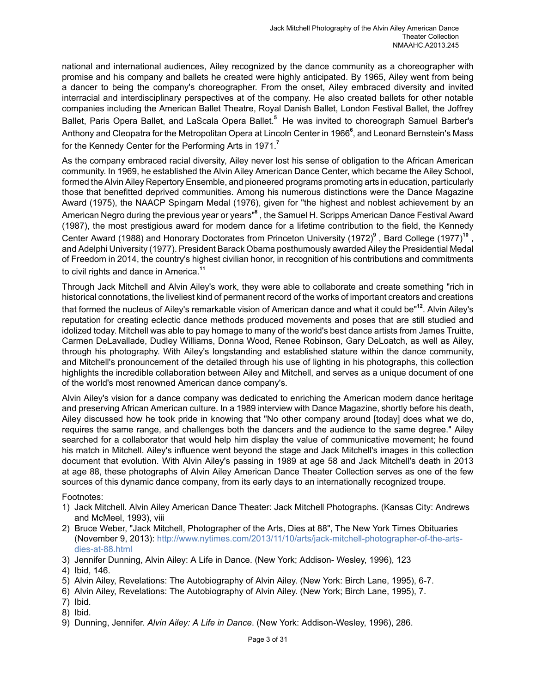national and international audiences, Ailey recognized by the dance community as a choreographer with promise and his company and ballets he created were highly anticipated. By 1965, Ailey went from being a dancer to being the company's choreographer. From the onset, Ailey embraced diversity and invited interracial and interdisciplinary perspectives at of the company. He also created ballets for other notable companies including the American Ballet Theatre, Royal Danish Ballet, London Festival Ballet, the Joffrey Ballet, Paris Opera Ballet, and LaScala Opera Ballet.<sup>5</sup> He was invited to choreograph Samuel Barber's Anthony and Cleopatra for the Metropolitan Opera at Lincoln Center in 1966**<sup>6</sup>** , and Leonard Bernstein's Mass for the Kennedy Center for the Performing Arts in 1971.**<sup>7</sup>**

As the company embraced racial diversity, Ailey never lost his sense of obligation to the African American community. In 1969, he established the Alvin Ailey American Dance Center, which became the Ailey School, formed the Alvin Ailey Repertory Ensemble, and pioneered programs promoting arts in education, particularly those that benefitted deprived communities. Among his numerous distinctions were the Dance Magazine Award (1975), the NAACP Spingarn Medal (1976), given for "the highest and noblest achievement by an American Negro during the previous year or years"**<sup>8</sup>** , the Samuel H. Scripps American Dance Festival Award (1987), the most prestigious award for modern dance for a lifetime contribution to the field, the Kennedy Center Award (1988) and Honorary Doctorates from Princeton University (1972)<sup>9</sup>, Bard College (1977)<sup>10</sup>, and Adelphi University (1977). President Barack Obama posthumously awarded Ailey the Presidential Medal of Freedom in 2014, the country's highest civilian honor, in recognition of his contributions and commitments to civil rights and dance in America.**<sup>11</sup>**

Through Jack Mitchell and Alvin Ailey's work, they were able to collaborate and create something "rich in historical connotations, the liveliest kind of permanent record of the works of important creators and creations that formed the nucleus of Ailey's remarkable vision of American dance and what it could be"**<sup>12</sup>**. Alvin Ailey's reputation for creating eclectic dance methods produced movements and poses that are still studied and idolized today. Mitchell was able to pay homage to many of the world's best dance artists from James Truitte, Carmen DeLavallade, Dudley Williams, Donna Wood, Renee Robinson, Gary DeLoatch, as well as Ailey, through his photography. With Ailey's longstanding and established stature within the dance community, and Mitchell's pronouncement of the detailed through his use of lighting in his photographs, this collection highlights the incredible collaboration between Ailey and Mitchell, and serves as a unique document of one of the world's most renowned American dance company's.

Alvin Ailey's vision for a dance company was dedicated to enriching the American modern dance heritage and preserving African American culture. In a 1989 interview with Dance Magazine, shortly before his death, Ailey discussed how he took pride in knowing that "No other company around [today] does what we do, requires the same range, and challenges both the dancers and the audience to the same degree." Ailey searched for a collaborator that would help him display the value of communicative movement; he found his match in Mitchell. Ailey's influence went beyond the stage and Jack Mitchell's images in this collection document that evolution. With Alvin Ailey's passing in 1989 at age 58 and Jack Mitchell's death in 2013 at age 88, these photographs of Alvin Ailey American Dance Theater Collection serves as one of the few sources of this dynamic dance company, from its early days to an internationally recognized troupe.

#### Footnotes:

- 1) Jack Mitchell. Alvin Ailey American Dance Theater: Jack Mitchell Photographs. (Kansas City: Andrews and McMeel, 1993), viii
- 2) Bruce Weber, "Jack Mitchell, Photographer of the Arts, Dies at 88", The New York Times Obituaries (November 9, 2013): [http://www.nytimes.com/2013/11/10/arts/jack-mitchell-photographer-of-the-arts](http://www.nytimes.com/2013/11/10/arts/jack-mitchell-photographer-of-the-arts-dies-at-88.html)[dies-at-88.html](http://www.nytimes.com/2013/11/10/arts/jack-mitchell-photographer-of-the-arts-dies-at-88.html)
- 3) Jennifer Dunning, Alvin Ailey: A Life in Dance. (New York; Addison- Wesley, 1996), 123

- 5) Alvin Ailey, Revelations: The Autobiography of Alvin Ailey. (New York: Birch Lane, 1995), 6-7.
- 6) Alvin Ailey, Revelations: The Autobiography of Alvin Ailey. (New York; Birch Lane, 1995), 7.
- 7) Ibid.
- 8) Ibid.
- 9) Dunning, Jennifer. *Alvin Ailey: A Life in Dance*. (New York: Addison-Wesley, 1996), 286.

<sup>4)</sup> Ibid, 146.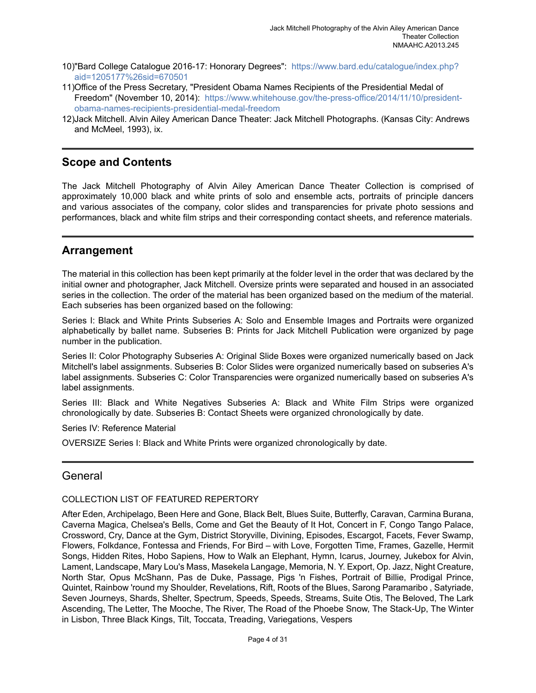- 10)"Bard College Catalogue 2016-17: Honorary Degrees": [https://www.bard.edu/catalogue/index.php?](https://www.bard.edu/catalogue/index.php?aid=1205177%26sid=670501) [aid=1205177%26sid=670501](https://www.bard.edu/catalogue/index.php?aid=1205177%26sid=670501)
- 11)Office of the Press Secretary, "President Obama Names Recipients of the Presidential Medal of Freedom" (November 10, 2014): [https://www.whitehouse.gov/the-press-office/2014/11/10/president](https://www.whitehouse.gov/the-press-office/2014/11/10/president-obama-names-recipients-presidential-medal-freedom)[obama-names-recipients-presidential-medal-freedom](https://www.whitehouse.gov/the-press-office/2014/11/10/president-obama-names-recipients-presidential-medal-freedom)
- 12)Jack Mitchell. Alvin Ailey American Dance Theater: Jack Mitchell Photographs. (Kansas City: Andrews and McMeel, 1993), ix.

# <span id="page-5-2"></span>**Scope and Contents**

The Jack Mitchell Photography of Alvin Ailey American Dance Theater Collection is comprised of approximately 10,000 black and white prints of solo and ensemble acts, portraits of principle dancers and various associates of the company, color slides and transparencies for private photo sessions and performances, black and white film strips and their corresponding contact sheets, and reference materials.

### <span id="page-5-0"></span>**Arrangement**

The material in this collection has been kept primarily at the folder level in the order that was declared by the initial owner and photographer, Jack Mitchell. Oversize prints were separated and housed in an associated series in the collection. The order of the material has been organized based on the medium of the material. Each subseries has been organized based on the following:

Series I: Black and White Prints Subseries A: Solo and Ensemble Images and Portraits were organized alphabetically by ballet name. Subseries B: Prints for Jack Mitchell Publication were organized by page number in the publication.

Series II: Color Photography Subseries A: Original Slide Boxes were organized numerically based on Jack Mitchell's label assignments. Subseries B: Color Slides were organized numerically based on subseries A's label assignments. Subseries C: Color Transparencies were organized numerically based on subseries A's label assignments.

Series III: Black and White Negatives Subseries A: Black and White Film Strips were organized chronologically by date. Subseries B: Contact Sheets were organized chronologically by date.

Series IV: Reference Material

OVERSIZE Series I: Black and White Prints were organized chronologically by date.

## <span id="page-5-1"></span>**General**

#### COLLECTION LIST OF FEATURED REPERTORY

After Eden, Archipelago, Been Here and Gone, Black Belt, Blues Suite, Butterfly, Caravan, Carmina Burana, Caverna Magica, Chelsea's Bells, Come and Get the Beauty of It Hot, Concert in F, Congo Tango Palace, Crossword, Cry, Dance at the Gym, District Storyville, Divining, Episodes, Escargot, Facets, Fever Swamp, Flowers, Folkdance, Fontessa and Friends, For Bird – with Love, Forgotten Time, Frames, Gazelle, Hermit Songs, Hidden Rites, Hobo Sapiens, How to Walk an Elephant, Hymn, Icarus, Journey, Jukebox for Alvin, Lament, Landscape, Mary Lou's Mass, Masekela Langage, Memoria, N. Y. Export, Op. Jazz, Night Creature, North Star, Opus McShann, Pas de Duke, Passage, Pigs 'n Fishes, Portrait of Billie, Prodigal Prince, Quintet, Rainbow 'round my Shoulder, Revelations, Rift, Roots of the Blues, Sarong Paramaribo , Satyriade, Seven Journeys, Shards, Shelter, Spectrum, Speeds, Speeds, Streams, Suite Otis, The Beloved, The Lark Ascending, The Letter, The Mooche, The River, The Road of the Phoebe Snow, The Stack-Up, The Winter in Lisbon, Three Black Kings, Tilt, Toccata, Treading, Variegations, Vespers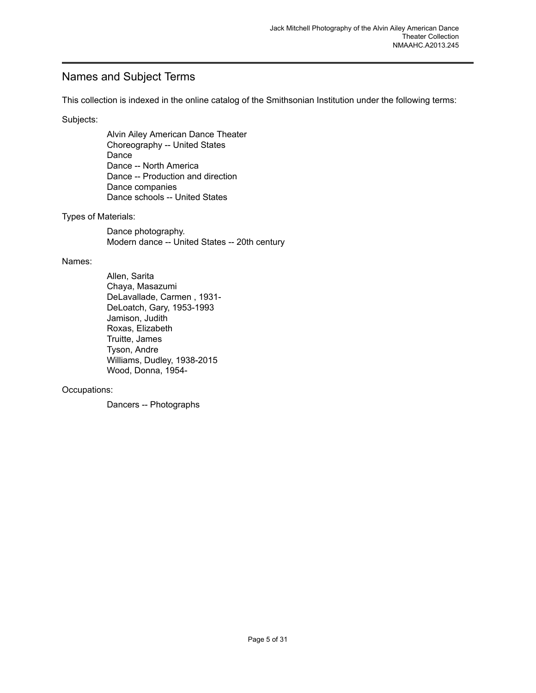# <span id="page-6-0"></span>Names and Subject Terms

This collection is indexed in the online catalog of the Smithsonian Institution under the following terms:

Subjects:

Alvin Ailey American Dance Theater Choreography -- United States Dance Dance -- North America Dance -- Production and direction Dance companies Dance schools -- United States

#### Types of Materials:

Dance photography. Modern dance -- United States -- 20th century

#### Names:

Allen, Sarita Chaya, Masazumi DeLavallade, Carmen , 1931- DeLoatch, Gary, 1953-1993 Jamison, Judith Roxas, Elizabeth Truitte, James Tyson, Andre Williams, Dudley, 1938-2015 Wood, Donna, 1954-

#### Occupations:

Dancers -- Photographs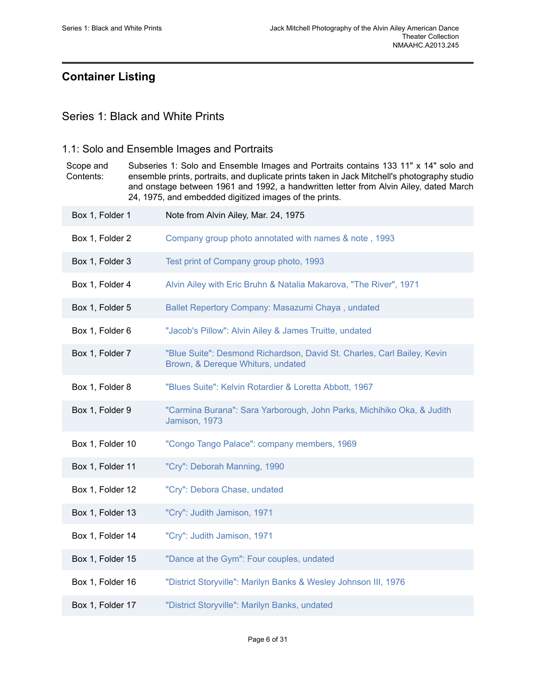# <span id="page-7-0"></span>**Container Listing**

### <span id="page-7-1"></span>Series 1: Black and White Prints

### 1.1: Solo and Ensemble Images and Portraits

Scope and Contents: Subseries 1: Solo and Ensemble Images and Portraits contains 133 11" x 14" solo and ensemble prints, portraits, and duplicate prints taken in Jack Mitchell's photography studio and onstage between 1961 and 1992, a handwritten letter from Alvin Ailey, dated March 24, 1975, and embedded digitized images of the prints. Box 1, Folder 1 Note from Alvin Ailey, Mar. 24, 1975 Box 1, Folder 2 Company group photo annotated with names & note, 1993

- Box 1, Folder 3 Test print of [Company](https://edan.si.edu/slideshow/slideshowViewer.htm?eadrefid=NMAAHC.A2013.245_ref34) group photo, 1993
- Box 1, Folder 4 [Alvin Ailey with Eric Bruhn & Natalia Makarova, "The River", 1971](https://edan.si.edu/slideshow/slideshowViewer.htm?eadrefid=NMAAHC.A2013.245_ref35)
- Box 1, Folder 5 Ballet Repertory Company: Masazumi Chaya, undated
- Box 1, Folder 6 ["Jacob's](https://edan.si.edu/slideshow/slideshowViewer.htm?eadrefid=NMAAHC.A2013.245_ref37) Pillow": Alvin Ailey & James Truitte, undated
- Box 1, Folder 7 "Blue Suite": Desmond [Richardson,](https://edan.si.edu/slideshow/slideshowViewer.htm?eadrefid=NMAAHC.A2013.245_ref38) David St. Charles, Carl Bailey, Kevin [Brown, & Dereque Whiturs, undated](https://edan.si.edu/slideshow/slideshowViewer.htm?eadrefid=NMAAHC.A2013.245_ref38)
- Box 1, Folder 8 ["Blues Suite": Kelvin Rotardier & Loretta Abbott, 1967](https://edan.si.edu/slideshow/slideshowViewer.htm?eadrefid=NMAAHC.A2013.245_ref39)
- Box 1, Folder 9 "Carmina Burana": Sara [Yarborough,](https://edan.si.edu/slideshow/slideshowViewer.htm?eadrefid=NMAAHC.A2013.245_ref40) John Parks, Michihiko Oka, & Judith [Jamison, 1973](https://edan.si.edu/slideshow/slideshowViewer.htm?eadrefid=NMAAHC.A2013.245_ref40)
- Box 1, Folder 10 "Congo Tango Palace": company [members,](https://edan.si.edu/slideshow/slideshowViewer.htm?eadrefid=NMAAHC.A2013.245_ref41) 1969
- Box 1, Folder 11 ["Cry": Deborah Manning, 1990](https://edan.si.edu/slideshow/slideshowViewer.htm?eadrefid=NMAAHC.A2013.245_ref42)
- Box 1, Folder 12 ["Cry": Debora Chase, undated](https://edan.si.edu/slideshow/slideshowViewer.htm?eadrefid=NMAAHC.A2013.245_ref43)
- Box 1, Folder 13 ["Cry": Judith Jamison, 1971](https://edan.si.edu/slideshow/slideshowViewer.htm?eadrefid=NMAAHC.A2013.245_ref44)
- Box 1, Folder 14 ["Cry": Judith Jamison, 1971](https://edan.si.edu/slideshow/slideshowViewer.htm?eadrefid=NMAAHC.A2013.245_ref45)
- Box 1, Folder 15 ["Dance at the Gym": Four couples, undated](https://edan.si.edu/slideshow/slideshowViewer.htm?eadrefid=NMAAHC.A2013.245_ref46)
- Box 1, Folder 16 "District [Storyville":](https://edan.si.edu/slideshow/slideshowViewer.htm?eadrefid=NMAAHC.A2013.245_ref47) Marilyn Banks & Wesley Johnson III, 1976
- Box 1, Folder 17 ["District Storyville": Marilyn Banks, undated](https://edan.si.edu/slideshow/slideshowViewer.htm?eadrefid=NMAAHC.A2013.245_ref48)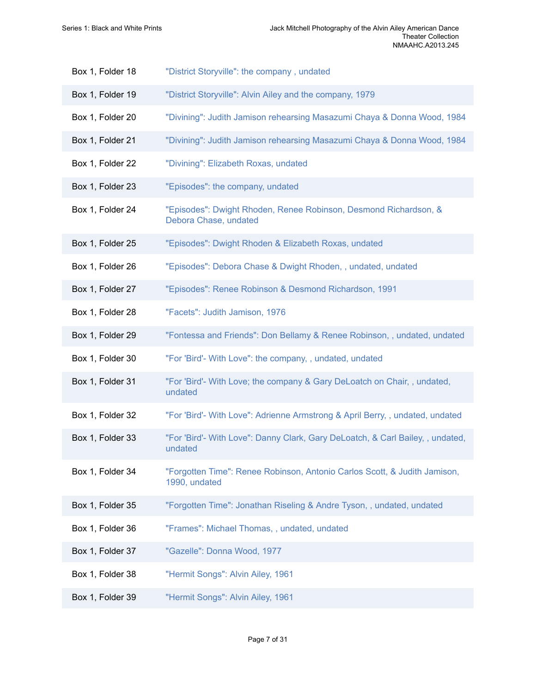| Box 1, Folder 18 | "District Storyville": the company, undated                                                |
|------------------|--------------------------------------------------------------------------------------------|
| Box 1, Folder 19 | "District Storyville": Alvin Ailey and the company, 1979                                   |
| Box 1, Folder 20 | "Divining": Judith Jamison rehearsing Masazumi Chaya & Donna Wood, 1984                    |
| Box 1, Folder 21 | "Divining": Judith Jamison rehearsing Masazumi Chaya & Donna Wood, 1984                    |
| Box 1, Folder 22 | "Divining": Elizabeth Roxas, undated                                                       |
| Box 1, Folder 23 | "Episodes": the company, undated                                                           |
| Box 1, Folder 24 | "Episodes": Dwight Rhoden, Renee Robinson, Desmond Richardson, &<br>Debora Chase, undated  |
| Box 1, Folder 25 | "Episodes": Dwight Rhoden & Elizabeth Roxas, undated                                       |
| Box 1, Folder 26 | "Episodes": Debora Chase & Dwight Rhoden, , undated, undated                               |
| Box 1, Folder 27 | "Episodes": Renee Robinson & Desmond Richardson, 1991                                      |
| Box 1, Folder 28 | "Facets": Judith Jamison, 1976                                                             |
| Box 1, Folder 29 | "Fontessa and Friends": Don Bellamy & Renee Robinson,, undated, undated                    |
| Box 1, Folder 30 | "For 'Bird'- With Love": the company, , undated, undated                                   |
| Box 1, Folder 31 | "For 'Bird'- With Love; the company & Gary DeLoatch on Chair, , undated,<br>undated        |
| Box 1, Folder 32 | "For 'Bird'- With Love": Adrienne Armstrong & April Berry,, undated, undated               |
| Box 1, Folder 33 | "For 'Bird'- With Love": Danny Clark, Gary DeLoatch, & Carl Bailey, , undated,<br>undated  |
| Box 1, Folder 34 | "Forgotten Time": Renee Robinson, Antonio Carlos Scott, & Judith Jamison,<br>1990, undated |
| Box 1, Folder 35 | "Forgotten Time": Jonathan Riseling & Andre Tyson,, undated, undated                       |
| Box 1, Folder 36 | "Frames": Michael Thomas, , undated, undated                                               |
| Box 1, Folder 37 | "Gazelle": Donna Wood, 1977                                                                |
| Box 1, Folder 38 | "Hermit Songs": Alvin Ailey, 1961                                                          |
| Box 1, Folder 39 | "Hermit Songs": Alvin Ailey, 1961                                                          |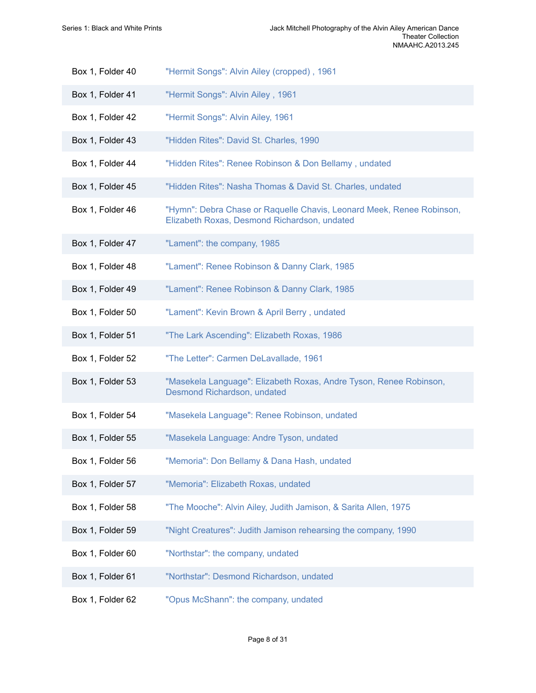| Box 1, Folder 40 | "Hermit Songs": Alvin Ailey (cropped), 1961                                                                           |
|------------------|-----------------------------------------------------------------------------------------------------------------------|
| Box 1, Folder 41 | "Hermit Songs": Alvin Ailey, 1961                                                                                     |
| Box 1, Folder 42 | "Hermit Songs": Alvin Ailey, 1961                                                                                     |
| Box 1, Folder 43 | "Hidden Rites": David St. Charles, 1990                                                                               |
| Box 1, Folder 44 | "Hidden Rites": Renee Robinson & Don Bellamy, undated                                                                 |
| Box 1, Folder 45 | "Hidden Rites": Nasha Thomas & David St. Charles, undated                                                             |
| Box 1, Folder 46 | "Hymn": Debra Chase or Raquelle Chavis, Leonard Meek, Renee Robinson,<br>Elizabeth Roxas, Desmond Richardson, undated |
| Box 1, Folder 47 | "Lament": the company, 1985                                                                                           |
| Box 1, Folder 48 | "Lament": Renee Robinson & Danny Clark, 1985                                                                          |
| Box 1, Folder 49 | "Lament": Renee Robinson & Danny Clark, 1985                                                                          |
| Box 1, Folder 50 | "Lament": Kevin Brown & April Berry, undated                                                                          |
| Box 1, Folder 51 | "The Lark Ascending": Elizabeth Roxas, 1986                                                                           |
| Box 1, Folder 52 | "The Letter": Carmen DeLavallade, 1961                                                                                |
| Box 1, Folder 53 | "Masekela Language": Elizabeth Roxas, Andre Tyson, Renee Robinson,<br>Desmond Richardson, undated                     |
| Box 1, Folder 54 | "Masekela Language": Renee Robinson, undated                                                                          |
| Box 1, Folder 55 | "Masekela Language: Andre Tyson, undated                                                                              |
| Box 1, Folder 56 | "Memoria": Don Bellamy & Dana Hash, undated                                                                           |
| Box 1, Folder 57 | "Memoria": Elizabeth Roxas, undated                                                                                   |
| Box 1, Folder 58 | "The Mooche": Alvin Ailey, Judith Jamison, & Sarita Allen, 1975                                                       |
| Box 1, Folder 59 | "Night Creatures": Judith Jamison rehearsing the company, 1990                                                        |
| Box 1, Folder 60 | "Northstar": the company, undated                                                                                     |
| Box 1, Folder 61 | "Northstar": Desmond Richardson, undated                                                                              |
| Box 1, Folder 62 | "Opus McShann": the company, undated                                                                                  |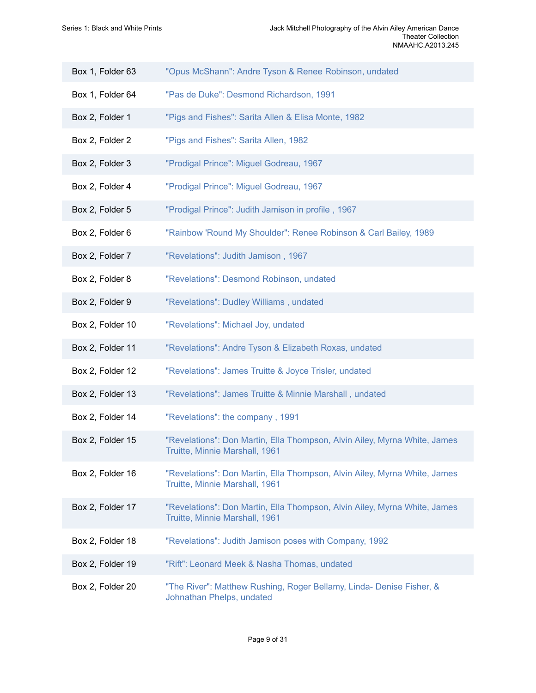| Box 1, Folder 63 | "Opus McShann": Andre Tyson & Renee Robinson, undated                                                       |
|------------------|-------------------------------------------------------------------------------------------------------------|
| Box 1, Folder 64 | "Pas de Duke": Desmond Richardson, 1991                                                                     |
| Box 2, Folder 1  | "Pigs and Fishes": Sarita Allen & Elisa Monte, 1982                                                         |
| Box 2, Folder 2  | "Pigs and Fishes": Sarita Allen, 1982                                                                       |
| Box 2, Folder 3  | "Prodigal Prince": Miguel Godreau, 1967                                                                     |
| Box 2, Folder 4  | "Prodigal Prince": Miguel Godreau, 1967                                                                     |
| Box 2, Folder 5  | "Prodigal Prince": Judith Jamison in profile, 1967                                                          |
| Box 2, Folder 6  | "Rainbow 'Round My Shoulder": Renee Robinson & Carl Bailey, 1989                                            |
| Box 2, Folder 7  | "Revelations": Judith Jamison, 1967                                                                         |
| Box 2, Folder 8  | "Revelations": Desmond Robinson, undated                                                                    |
| Box 2, Folder 9  | "Revelations": Dudley Williams, undated                                                                     |
| Box 2, Folder 10 | "Revelations": Michael Joy, undated                                                                         |
| Box 2, Folder 11 | "Revelations": Andre Tyson & Elizabeth Roxas, undated                                                       |
| Box 2, Folder 12 | "Revelations": James Truitte & Joyce Trisler, undated                                                       |
| Box 2, Folder 13 | "Revelations": James Truitte & Minnie Marshall, undated                                                     |
| Box 2, Folder 14 | "Revelations": the company, 1991                                                                            |
| Box 2, Folder 15 | "Revelations": Don Martin, Ella Thompson, Alvin Ailey, Myrna White, James<br>Truitte, Minnie Marshall, 1961 |
| Box 2, Folder 16 | "Revelations": Don Martin, Ella Thompson, Alvin Ailey, Myrna White, James<br>Truitte, Minnie Marshall, 1961 |
| Box 2, Folder 17 | "Revelations": Don Martin, Ella Thompson, Alvin Ailey, Myrna White, James<br>Truitte, Minnie Marshall, 1961 |
| Box 2, Folder 18 | "Revelations": Judith Jamison poses with Company, 1992                                                      |
| Box 2, Folder 19 | "Rift": Leonard Meek & Nasha Thomas, undated                                                                |
| Box 2, Folder 20 | "The River": Matthew Rushing, Roger Bellamy, Linda- Denise Fisher, &<br>Johnathan Phelps, undated           |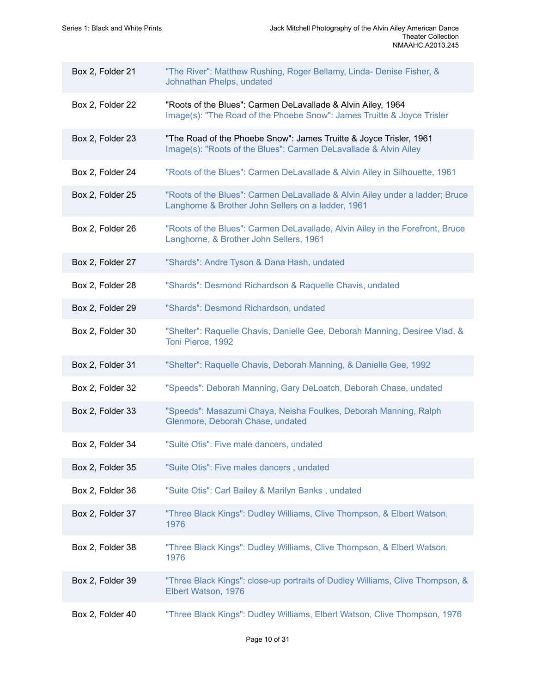| Box 2, Folder 21 | "The River": Matthew Rushing, Roger Bellamy, Linda- Denise Fisher, &<br>Johnathan Phelps, undated                                      |
|------------------|----------------------------------------------------------------------------------------------------------------------------------------|
| Box 2, Folder 22 | "Roots of the Blues": Carmen DeLavallade & Alvin Ailey, 1964<br>Image(s): "The Road of the Phoebe Snow": James Truitte & Joyce Trisler |
| Box 2, Folder 23 | "The Road of the Phoebe Snow": James Truitte & Joyce Trisler, 1961<br>Image(s): "Roots of the Blues": Carmen DeLavallade & Alvin Ailey |
| Box 2, Folder 24 | "Roots of the Blues": Carmen DeLavallade & Alvin Ailey in Silhouette, 1961                                                             |
| Box 2, Folder 25 | "Roots of the Blues": Carmen DeLavallade & Alvin Ailey under a ladder; Bruce<br>Langhorne & Brother John Sellers on a ladder, 1961     |
| Box 2, Folder 26 | "Roots of the Blues": Carmen DeLavallade, Alvin Ailey in the Forefront, Bruce<br>Langhorne, & Brother John Sellers, 1961               |
| Box 2, Folder 27 | "Shards": Andre Tyson & Dana Hash, undated                                                                                             |
| Box 2, Folder 28 | "Shards": Desmond Richardson & Raquelle Chavis, undated                                                                                |
| Box 2, Folder 29 | "Shards": Desmond Richardson, undated                                                                                                  |
| Box 2, Folder 30 | "Shelter": Raquelle Chavis, Danielle Gee, Deborah Manning, Desiree Vlad, &<br>Toni Pierce, 1992                                        |
| Box 2, Folder 31 | "Shelter": Raquelle Chavis, Deborah Manning, & Danielle Gee, 1992                                                                      |
| Box 2, Folder 32 | "Speeds": Deborah Manning, Gary DeLoatch, Deborah Chase, undated                                                                       |
| Box 2, Folder 33 | "Speeds": Masazumi Chaya, Neisha Foulkes, Deborah Manning, Ralph<br>Glenmore, Deborah Chase, undated                                   |
| Box 2, Folder 34 | "Suite Otis": Five male dancers, undated                                                                                               |
| Box 2, Folder 35 | "Suite Otis": Five males dancers, undated                                                                                              |
| Box 2, Folder 36 | "Suite Otis": Carl Bailey & Marilyn Banks, undated                                                                                     |
| Box 2, Folder 37 | "Three Black Kings": Dudley Williams, Clive Thompson, & Elbert Watson,<br>1976                                                         |
| Box 2, Folder 38 | "Three Black Kings": Dudley Williams, Clive Thompson, & Elbert Watson,<br>1976                                                         |
| Box 2, Folder 39 | "Three Black Kings": close-up portraits of Dudley Williams, Clive Thompson, &<br>Elbert Watson, 1976                                   |
| Box 2, Folder 40 | "Three Black Kings": Dudley Williams, Elbert Watson, Clive Thompson, 1976                                                              |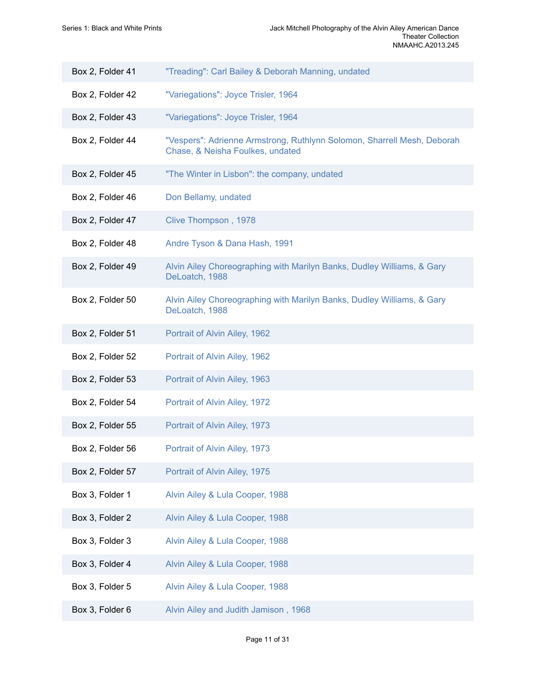| Box 2, Folder 41 | "Treading": Carl Bailey & Deborah Manning, undated                                                          |
|------------------|-------------------------------------------------------------------------------------------------------------|
| Box 2, Folder 42 | "Variegations": Joyce Trisler, 1964                                                                         |
| Box 2, Folder 43 | "Variegations": Joyce Trisler, 1964                                                                         |
| Box 2, Folder 44 | "Vespers": Adrienne Armstrong, Ruthlynn Solomon, Sharrell Mesh, Deborah<br>Chase, & Neisha Foulkes, undated |
| Box 2, Folder 45 | "The Winter in Lisbon": the company, undated                                                                |
| Box 2, Folder 46 | Don Bellamy, undated                                                                                        |
| Box 2, Folder 47 | Clive Thompson, 1978                                                                                        |
| Box 2, Folder 48 | Andre Tyson & Dana Hash, 1991                                                                               |
| Box 2, Folder 49 | Alvin Ailey Choreographing with Marilyn Banks, Dudley Williams, & Gary<br>DeLoatch, 1988                    |
| Box 2, Folder 50 | Alvin Ailey Choreographing with Marilyn Banks, Dudley Williams, & Gary<br>DeLoatch, 1988                    |
| Box 2, Folder 51 | Portrait of Alvin Ailey, 1962                                                                               |
| Box 2, Folder 52 | Portrait of Alvin Ailey, 1962                                                                               |
| Box 2, Folder 53 | Portrait of Alvin Ailey, 1963                                                                               |
| Box 2, Folder 54 | Portrait of Alvin Ailey, 1972                                                                               |
| Box 2, Folder 55 | Portrait of Alvin Ailey, 1973                                                                               |
| Box 2, Folder 56 | Portrait of Alvin Ailey, 1973                                                                               |
| Box 2, Folder 57 | Portrait of Alvin Ailey, 1975                                                                               |
| Box 3, Folder 1  | Alvin Ailey & Lula Cooper, 1988                                                                             |
| Box 3, Folder 2  | Alvin Ailey & Lula Cooper, 1988                                                                             |
| Box 3, Folder 3  | Alvin Ailey & Lula Cooper, 1988                                                                             |
| Box 3, Folder 4  | Alvin Ailey & Lula Cooper, 1988                                                                             |
| Box 3, Folder 5  | Alvin Ailey & Lula Cooper, 1988                                                                             |
| Box 3, Folder 6  | Alvin Ailey and Judith Jamison, 1968                                                                        |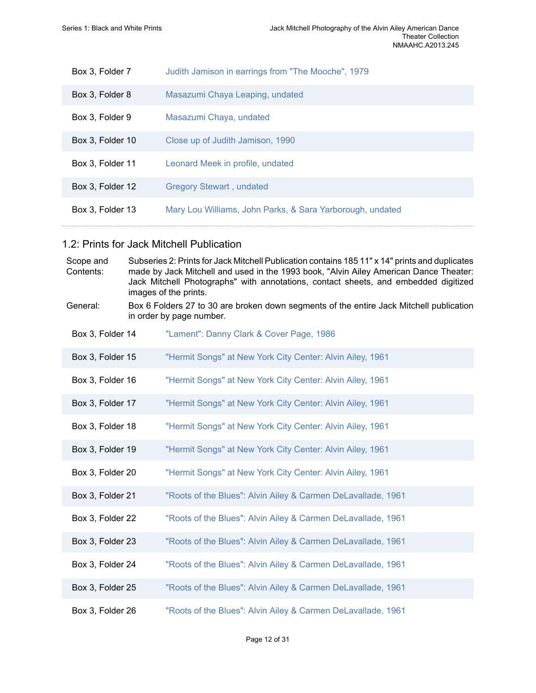| Box 3, Folder 7  | Judith Jamison in earrings from "The Mooche", 1979        |
|------------------|-----------------------------------------------------------|
| Box 3, Folder 8  | Masazumi Chaya Leaping, undated                           |
| Box 3, Folder 9  | Masazumi Chaya, undated                                   |
| Box 3, Folder 10 | Close up of Judith Jamison, 1990                          |
| Box 3, Folder 11 | Leonard Meek in profile, undated                          |
| Box 3, Folder 12 | <b>Gregory Stewart, undated</b>                           |
| Box 3, Folder 13 | Mary Lou Williams, John Parks, & Sara Yarborough, undated |

### 1.2: Prints for Jack Mitchell Publication

| Scope and<br>Contents: | Subseries 2: Prints for Jack Mitchell Publication contains 185 11" x 14" prints and duplicates<br>made by Jack Mitchell and used in the 1993 book, "Alvin Ailey American Dance Theater:<br>Jack Mitchell Photographs" with annotations, contact sheets, and embedded digitized<br>images of the prints. |
|------------------------|---------------------------------------------------------------------------------------------------------------------------------------------------------------------------------------------------------------------------------------------------------------------------------------------------------|
| General:               | Box 6 Folders 27 to 30 are broken down segments of the entire Jack Mitchell publication<br>in order by page number.                                                                                                                                                                                     |
| Box 3, Folder 14       | "Lament": Danny Clark & Cover Page, 1986                                                                                                                                                                                                                                                                |
| Box 3, Folder 15       | "Hermit Songs" at New York City Center: Alvin Ailey, 1961                                                                                                                                                                                                                                               |
| Box 3, Folder 16       | "Hermit Songs" at New York City Center: Alvin Ailey, 1961                                                                                                                                                                                                                                               |
| Box 3, Folder 17       | "Hermit Songs" at New York City Center: Alvin Ailey, 1961                                                                                                                                                                                                                                               |
| Box 3, Folder 18       | "Hermit Songs" at New York City Center: Alvin Ailey, 1961                                                                                                                                                                                                                                               |
| Box 3, Folder 19       | "Hermit Songs" at New York City Center: Alvin Ailey, 1961                                                                                                                                                                                                                                               |
| Box 3, Folder 20       | "Hermit Songs" at New York City Center: Alvin Ailey, 1961                                                                                                                                                                                                                                               |
| Box 3, Folder 21       | "Roots of the Blues": Alvin Ailey & Carmen DeLavallade, 1961                                                                                                                                                                                                                                            |
| Box 3, Folder 22       | "Roots of the Blues": Alvin Ailey & Carmen DeLavallade, 1961                                                                                                                                                                                                                                            |
| Box 3, Folder 23       | "Roots of the Blues": Alvin Ailey & Carmen DeLavallade, 1961                                                                                                                                                                                                                                            |
| Box 3, Folder 24       | "Roots of the Blues": Alvin Ailey & Carmen DeLavallade, 1961                                                                                                                                                                                                                                            |
| Box 3, Folder 25       | "Roots of the Blues": Alvin Ailey & Carmen DeLavallade, 1961                                                                                                                                                                                                                                            |
| Box 3, Folder 26       | "Roots of the Blues": Alvin Ailey & Carmen DeLavallade, 1961                                                                                                                                                                                                                                            |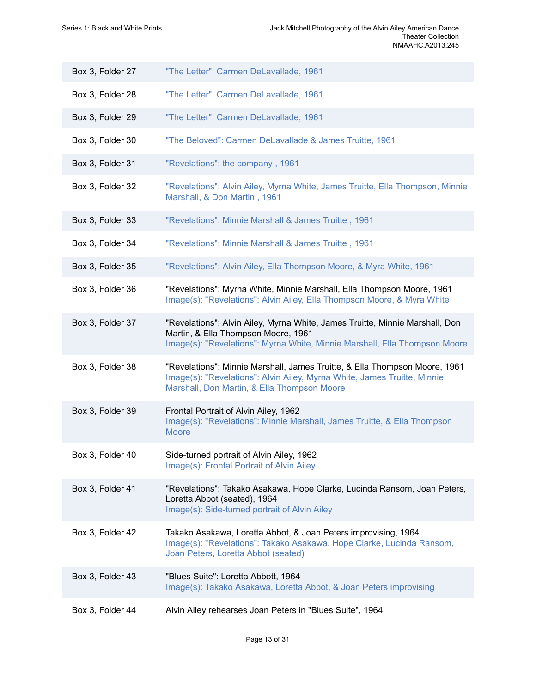| Box 3, Folder 27 | "The Letter": Carmen DeLavallade, 1961                                                                                                                                                                |
|------------------|-------------------------------------------------------------------------------------------------------------------------------------------------------------------------------------------------------|
| Box 3, Folder 28 | "The Letter": Carmen DeLavallade, 1961                                                                                                                                                                |
| Box 3, Folder 29 | "The Letter": Carmen DeLavallade, 1961                                                                                                                                                                |
| Box 3, Folder 30 | "The Beloved": Carmen DeLavallade & James Truitte, 1961                                                                                                                                               |
| Box 3, Folder 31 | "Revelations": the company, 1961                                                                                                                                                                      |
| Box 3, Folder 32 | "Revelations": Alvin Ailey, Myrna White, James Truitte, Ella Thompson, Minnie<br>Marshall, & Don Martin, 1961                                                                                         |
| Box 3, Folder 33 | "Revelations": Minnie Marshall & James Truitte, 1961                                                                                                                                                  |
| Box 3, Folder 34 | "Revelations": Minnie Marshall & James Truitte, 1961                                                                                                                                                  |
| Box 3, Folder 35 | "Revelations": Alvin Ailey, Ella Thompson Moore, & Myra White, 1961                                                                                                                                   |
| Box 3, Folder 36 | "Revelations": Myrna White, Minnie Marshall, Ella Thompson Moore, 1961<br>Image(s): "Revelations": Alvin Ailey, Ella Thompson Moore, & Myra White                                                     |
| Box 3, Folder 37 | "Revelations": Alvin Ailey, Myrna White, James Truitte, Minnie Marshall, Don<br>Martin, & Ella Thompson Moore, 1961<br>Image(s): "Revelations": Myrna White, Minnie Marshall, Ella Thompson Moore     |
| Box 3, Folder 38 | "Revelations": Minnie Marshall, James Truitte, & Ella Thompson Moore, 1961<br>Image(s): "Revelations": Alvin Ailey, Myrna White, James Truitte, Minnie<br>Marshall, Don Martin, & Ella Thompson Moore |
| Box 3, Folder 39 | Frontal Portrait of Alvin Ailey, 1962<br>Image(s): "Revelations": Minnie Marshall, James Truitte, & Ella Thompson<br><b>Moore</b>                                                                     |
| Box 3, Folder 40 | Side-turned portrait of Alvin Ailey, 1962<br>Image(s): Frontal Portrait of Alvin Ailey                                                                                                                |
| Box 3, Folder 41 | "Revelations": Takako Asakawa, Hope Clarke, Lucinda Ransom, Joan Peters,<br>Loretta Abbot (seated), 1964<br>Image(s): Side-turned portrait of Alvin Ailey                                             |
| Box 3, Folder 42 | Takako Asakawa, Loretta Abbot, & Joan Peters improvising, 1964<br>Image(s): "Revelations": Takako Asakawa, Hope Clarke, Lucinda Ransom,<br>Joan Peters, Loretta Abbot (seated)                        |
| Box 3, Folder 43 | "Blues Suite": Loretta Abbott, 1964<br>Image(s): Takako Asakawa, Loretta Abbot, & Joan Peters improvising                                                                                             |
| Box 3, Folder 44 | Alvin Ailey rehearses Joan Peters in "Blues Suite", 1964                                                                                                                                              |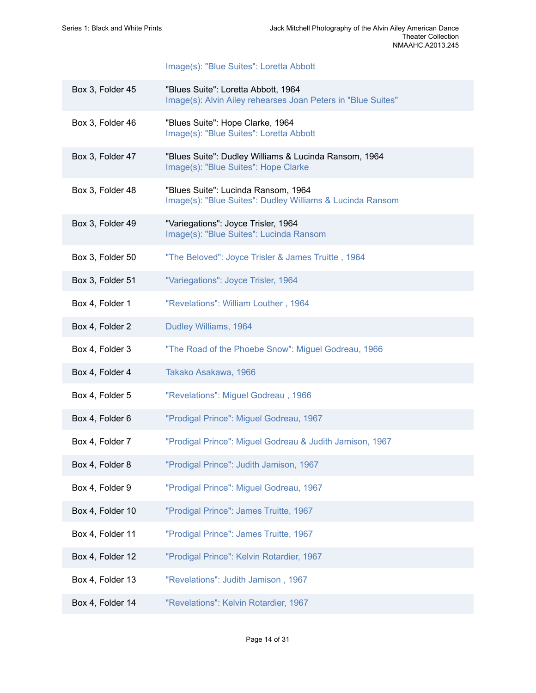### [Image\(s\): "Blue Suites": Loretta Abbott](https://edan.si.edu/slideshow/slideshowViewer.htm?eadrefid=NMAAHC.A2013.245_ref196)

| Box 3, Folder 45 | "Blues Suite": Loretta Abbott, 1964<br>Image(s): Alvin Ailey rehearses Joan Peters in "Blue Suites" |
|------------------|-----------------------------------------------------------------------------------------------------|
| Box 3, Folder 46 | "Blues Suite": Hope Clarke, 1964<br>Image(s): "Blue Suites": Loretta Abbott                         |
| Box 3, Folder 47 | "Blues Suite": Dudley Williams & Lucinda Ransom, 1964<br>Image(s): "Blue Suites": Hope Clarke       |
| Box 3, Folder 48 | "Blues Suite": Lucinda Ransom, 1964<br>Image(s): "Blue Suites": Dudley Williams & Lucinda Ransom    |
| Box 3, Folder 49 | "Variegations": Joyce Trisler, 1964<br>Image(s): "Blue Suites": Lucinda Ransom                      |
| Box 3, Folder 50 | "The Beloved": Joyce Trisler & James Truitte, 1964                                                  |
| Box 3, Folder 51 | "Variegations": Joyce Trisler, 1964                                                                 |
| Box 4, Folder 1  | "Revelations": William Louther, 1964                                                                |
| Box 4, Folder 2  | Dudley Williams, 1964                                                                               |
| Box 4, Folder 3  | "The Road of the Phoebe Snow": Miguel Godreau, 1966                                                 |
| Box 4, Folder 4  | Takako Asakawa, 1966                                                                                |
| Box 4, Folder 5  | "Revelations": Miguel Godreau, 1966                                                                 |
| Box 4, Folder 6  | "Prodigal Prince": Miguel Godreau, 1967                                                             |
| Box 4, Folder 7  | "Prodigal Prince": Miguel Godreau & Judith Jamison, 1967                                            |
| Box 4, Folder 8  | "Prodigal Prince": Judith Jamison, 1967                                                             |
| Box 4, Folder 9  | "Prodigal Prince": Miguel Godreau, 1967                                                             |
| Box 4, Folder 10 | "Prodigal Prince": James Truitte, 1967                                                              |
| Box 4, Folder 11 | "Prodigal Prince": James Truitte, 1967                                                              |
| Box 4, Folder 12 | "Prodigal Prince": Kelvin Rotardier, 1967                                                           |
| Box 4, Folder 13 | "Revelations": Judith Jamison, 1967                                                                 |
| Box 4, Folder 14 | "Revelations": Kelvin Rotardier, 1967                                                               |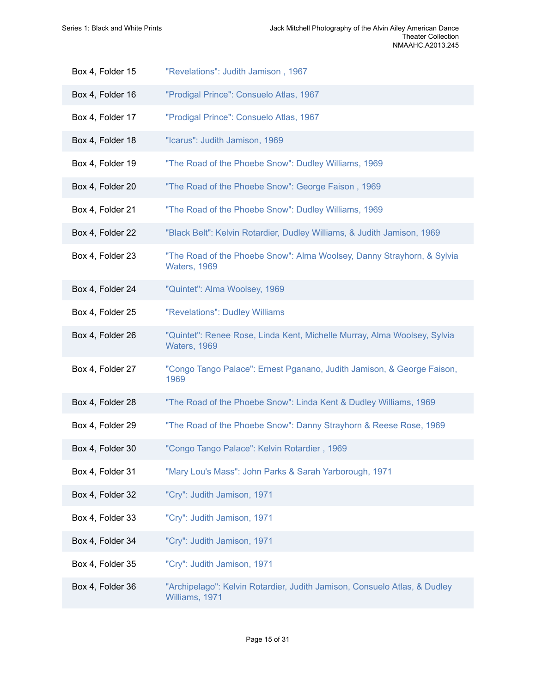| Box 4, Folder 15 | "Revelations": Judith Jamison, 1967                                                           |
|------------------|-----------------------------------------------------------------------------------------------|
| Box 4, Folder 16 | "Prodigal Prince": Consuelo Atlas, 1967                                                       |
| Box 4, Folder 17 | "Prodigal Prince": Consuelo Atlas, 1967                                                       |
| Box 4, Folder 18 | "Icarus": Judith Jamison, 1969                                                                |
| Box 4, Folder 19 | "The Road of the Phoebe Snow": Dudley Williams, 1969                                          |
| Box 4, Folder 20 | "The Road of the Phoebe Snow": George Faison, 1969                                            |
| Box 4, Folder 21 | "The Road of the Phoebe Snow": Dudley Williams, 1969                                          |
| Box 4, Folder 22 | "Black Belt": Kelvin Rotardier, Dudley Williams, & Judith Jamison, 1969                       |
| Box 4, Folder 23 | "The Road of the Phoebe Snow": Alma Woolsey, Danny Strayhorn, & Sylvia<br><b>Waters, 1969</b> |
| Box 4, Folder 24 | "Quintet": Alma Woolsey, 1969                                                                 |
| Box 4, Folder 25 | "Revelations": Dudley Williams                                                                |
| Box 4, Folder 26 | "Quintet": Renee Rose, Linda Kent, Michelle Murray, Alma Woolsey, Sylvia<br>Waters, 1969      |
| Box 4, Folder 27 | "Congo Tango Palace": Ernest Pganano, Judith Jamison, & George Faison,<br>1969                |
| Box 4, Folder 28 | "The Road of the Phoebe Snow": Linda Kent & Dudley Williams, 1969                             |
| Box 4, Folder 29 | "The Road of the Phoebe Snow": Danny Strayhorn & Reese Rose, 1969                             |
| Box 4, Folder 30 | "Congo Tango Palace": Kelvin Rotardier, 1969                                                  |
| Box 4, Folder 31 | "Mary Lou's Mass": John Parks & Sarah Yarborough, 1971                                        |
| Box 4, Folder 32 | "Cry": Judith Jamison, 1971                                                                   |
| Box 4, Folder 33 | "Cry": Judith Jamison, 1971                                                                   |
| Box 4, Folder 34 | "Cry": Judith Jamison, 1971                                                                   |
| Box 4, Folder 35 | "Cry": Judith Jamison, 1971                                                                   |
| Box 4, Folder 36 | "Archipelago": Kelvin Rotardier, Judith Jamison, Consuelo Atlas, & Dudley<br>Williams, 1971   |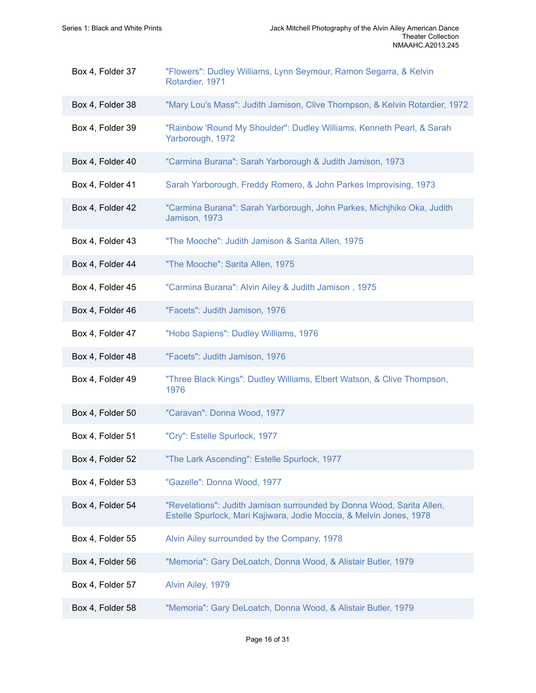| Box 4, Folder 37 | "Flowers": Dudley Williams, Lynn Seymour, Ramon Segarra, & Kelvin<br>Rotardier, 1971                                                         |
|------------------|----------------------------------------------------------------------------------------------------------------------------------------------|
| Box 4, Folder 38 | "Mary Lou's Mass": Judith Jamison, Clive Thompson, & Kelvin Rotardier, 1972                                                                  |
| Box 4, Folder 39 | "Rainbow 'Round My Shoulder": Dudley Williams, Kenneth Pearl, & Sarah<br>Yarborough, 1972                                                    |
| Box 4, Folder 40 | "Carmina Burana": Sarah Yarborough & Judith Jamison, 1973                                                                                    |
| Box 4, Folder 41 | Sarah Yarborough, Freddy Romero, & John Parkes Improvising, 1973                                                                             |
| Box 4, Folder 42 | "Carmina Burana": Sarah Yarborough, John Parkes, Michjhiko Oka, Judith<br>Jamison, 1973                                                      |
| Box 4, Folder 43 | "The Mooche": Judith Jamison & Sarita Allen, 1975                                                                                            |
| Box 4, Folder 44 | "The Mooche": Sarita Allen, 1975                                                                                                             |
| Box 4, Folder 45 | "Carmina Burana": Alvin Ailey & Judith Jamison, 1975                                                                                         |
| Box 4, Folder 46 | "Facets": Judith Jamison, 1976                                                                                                               |
| Box 4, Folder 47 | "Hobo Sapiens": Dudley Williams, 1976                                                                                                        |
| Box 4, Folder 48 | "Facets": Judith Jamison, 1976                                                                                                               |
| Box 4, Folder 49 | "Three Black Kings": Dudley Williams, Elbert Watson, & Clive Thompson,<br>1976                                                               |
| Box 4, Folder 50 | "Caravan": Donna Wood, 1977                                                                                                                  |
| Box 4, Folder 51 | "Cry": Estelle Spurlock, 1977                                                                                                                |
| Box 4, Folder 52 | "The Lark Ascending": Estelle Spurlock, 1977                                                                                                 |
| Box 4, Folder 53 | "Gazelle": Donna Wood, 1977                                                                                                                  |
| Box 4, Folder 54 | "Revelations": Judith Jamison surrounded by Donna Wood, Sarita Allen,<br>Estelle Spurlock, Mari Kajiwara, Jodie Moccia, & Melvin Jones, 1978 |
| Box 4, Folder 55 | Alvin Ailey surrounded by the Company, 1978                                                                                                  |
| Box 4, Folder 56 | "Memoria": Gary DeLoatch, Donna Wood, & Alistair Butler, 1979                                                                                |
| Box 4, Folder 57 | Alvin Ailey, 1979                                                                                                                            |
| Box 4, Folder 58 | "Memoria": Gary DeLoatch, Donna Wood, & Alistair Butler, 1979                                                                                |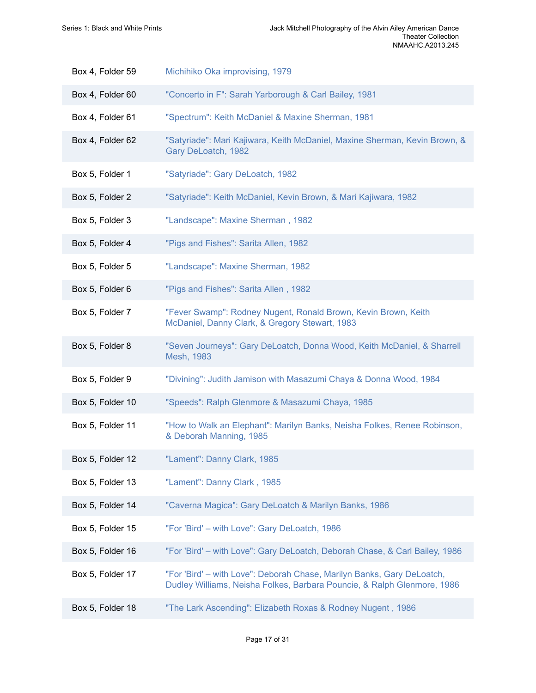| Box 4, Folder 59 | Michihiko Oka improvising, 1979                                                                                                                   |
|------------------|---------------------------------------------------------------------------------------------------------------------------------------------------|
| Box 4, Folder 60 | "Concerto in F": Sarah Yarborough & Carl Bailey, 1981                                                                                             |
| Box 4, Folder 61 | "Spectrum": Keith McDaniel & Maxine Sherman, 1981                                                                                                 |
| Box 4, Folder 62 | "Satyriade": Mari Kajiwara, Keith McDaniel, Maxine Sherman, Kevin Brown, &<br>Gary DeLoatch, 1982                                                 |
| Box 5, Folder 1  | "Satyriade": Gary DeLoatch, 1982                                                                                                                  |
| Box 5, Folder 2  | "Satyriade": Keith McDaniel, Kevin Brown, & Mari Kajiwara, 1982                                                                                   |
| Box 5, Folder 3  | "Landscape": Maxine Sherman, 1982                                                                                                                 |
| Box 5, Folder 4  | "Pigs and Fishes": Sarita Allen, 1982                                                                                                             |
| Box 5, Folder 5  | "Landscape": Maxine Sherman, 1982                                                                                                                 |
| Box 5, Folder 6  | "Pigs and Fishes": Sarita Allen, 1982                                                                                                             |
| Box 5, Folder 7  | "Fever Swamp": Rodney Nugent, Ronald Brown, Kevin Brown, Keith<br>McDaniel, Danny Clark, & Gregory Stewart, 1983                                  |
| Box 5, Folder 8  | "Seven Journeys": Gary DeLoatch, Donna Wood, Keith McDaniel, & Sharrell<br>Mesh, 1983                                                             |
| Box 5, Folder 9  | "Divining": Judith Jamison with Masazumi Chaya & Donna Wood, 1984                                                                                 |
| Box 5, Folder 10 | "Speeds": Ralph Glenmore & Masazumi Chaya, 1985                                                                                                   |
| Box 5, Folder 11 | "How to Walk an Elephant": Marilyn Banks, Neisha Folkes, Renee Robinson,<br>& Deborah Manning, 1985                                               |
| Box 5, Folder 12 | "Lament": Danny Clark, 1985                                                                                                                       |
| Box 5, Folder 13 | "Lament": Danny Clark, 1985                                                                                                                       |
| Box 5, Folder 14 | "Caverna Magica": Gary DeLoatch & Marilyn Banks, 1986                                                                                             |
| Box 5, Folder 15 | "For 'Bird' - with Love": Gary DeLoatch, 1986                                                                                                     |
| Box 5, Folder 16 | "For 'Bird' - with Love": Gary DeLoatch, Deborah Chase, & Carl Bailey, 1986                                                                       |
| Box 5, Folder 17 | "For 'Bird' - with Love": Deborah Chase, Marilyn Banks, Gary DeLoatch,<br>Dudley Williams, Neisha Folkes, Barbara Pouncie, & Ralph Glenmore, 1986 |
| Box 5, Folder 18 | "The Lark Ascending": Elizabeth Roxas & Rodney Nugent, 1986                                                                                       |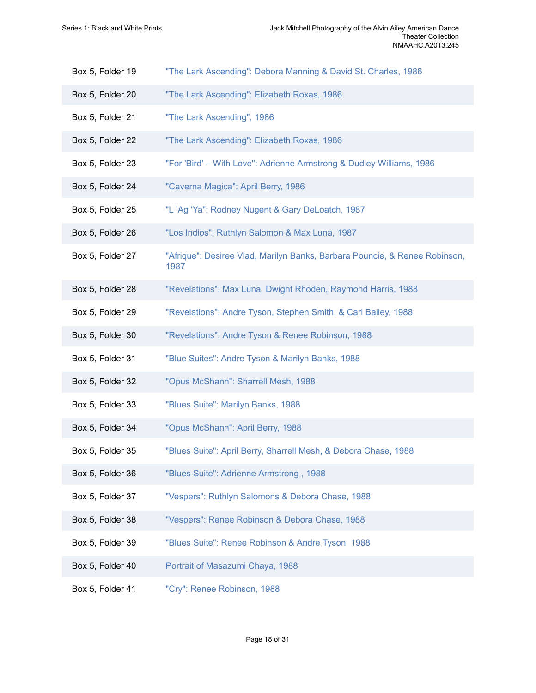- Box 5, Folder 19 ["The Lark Ascending": Debora Manning & David St. Charles, 1986](https://edan.si.edu/slideshow/slideshowViewer.htm?eadrefid=NMAAHC.A2013.245_ref285)
- Box 5, Folder 20 ["The Lark Ascending": Elizabeth Roxas, 1986](https://edan.si.edu/slideshow/slideshowViewer.htm?eadrefid=NMAAHC.A2013.245_ref286)
- Box 5, Folder 21 ["The Lark Ascending", 1986](https://edan.si.edu/slideshow/slideshowViewer.htm?eadrefid=NMAAHC.A2013.245_ref287)
- Box 5, Folder 22 ["The Lark Ascending": Elizabeth Roxas, 1986](https://edan.si.edu/slideshow/slideshowViewer.htm?eadrefid=NMAAHC.A2013.245_ref288)
- Box 5, Folder 23 ["For 'Bird' With Love": Adrienne Armstrong & Dudley Williams, 1986](https://edan.si.edu/slideshow/slideshowViewer.htm?eadrefid=NMAAHC.A2013.245_ref289)
- Box 5, Folder 24 ["Caverna](https://edan.si.edu/slideshow/slideshowViewer.htm?eadrefid=NMAAHC.A2013.245_ref290) Magica": April Berry, 1986
- Box 5, Folder 25 "L 'Ag 'Ya": Rodney Nugent & Gary [DeLoatch,](https://edan.si.edu/slideshow/slideshowViewer.htm?eadrefid=NMAAHC.A2013.245_ref291) 1987
- Box 5, Folder 26 ["Los Indios": Ruthlyn Salomon & Max Luna, 1987](https://edan.si.edu/slideshow/slideshowViewer.htm?eadrefid=NMAAHC.A2013.245_ref292)
- Box 5, Folder 27 ["Afrique": Desiree Vlad, Marilyn Banks, Barbara Pouncie, & Renee Robinson,](https://edan.si.edu/slideshow/slideshowViewer.htm?eadrefid=NMAAHC.A2013.245_ref293) [1987](https://edan.si.edu/slideshow/slideshowViewer.htm?eadrefid=NMAAHC.A2013.245_ref293)
- Box 5, Folder 28 ["Revelations": Max Luna, Dwight Rhoden, Raymond Harris, 1988](https://edan.si.edu/slideshow/slideshowViewer.htm?eadrefid=NMAAHC.A2013.245_ref294)
- Box 5, Folder 29 ["Revelations":](https://edan.si.edu/slideshow/slideshowViewer.htm?eadrefid=NMAAHC.A2013.245_ref295) Andre Tyson, Stephen Smith, & Carl Bailey, 1988
- Box 5, Folder 30 ["Revelations":](https://edan.si.edu/slideshow/slideshowViewer.htm?eadrefid=NMAAHC.A2013.245_ref296) Andre Tyson & Renee Robinson, 1988
- Box 5, Folder 31 "Blue [Suites":](https://edan.si.edu/slideshow/slideshowViewer.htm?eadrefid=NMAAHC.A2013.245_ref297) Andre Tyson & Marilyn Banks, 1988
- Box 5, Folder 32 ["Opus McShann": Sharrell Mesh, 1988](https://edan.si.edu/slideshow/slideshowViewer.htm?eadrefid=NMAAHC.A2013.245_ref298)
- Box 5, Folder 33 ["Blues Suite": Marilyn Banks, 1988](https://edan.si.edu/slideshow/slideshowViewer.htm?eadrefid=NMAAHC.A2013.245_ref299)
- Box 5, Folder 34 "Opus [McShann":](https://edan.si.edu/slideshow/slideshowViewer.htm?eadrefid=NMAAHC.A2013.245_ref300) April Berry, 1988
- Box 5, Folder 35 "Blues Suite": April Berry, [Sharrell](https://edan.si.edu/slideshow/slideshowViewer.htm?eadrefid=NMAAHC.A2013.245_ref301) Mesh, & Debora Chase, 1988
- Box 5, Folder 36 ["Blues Suite": Adrienne Armstrong , 1988](https://edan.si.edu/slideshow/slideshowViewer.htm?eadrefid=NMAAHC.A2013.245_ref302)
- Box 5, Folder 37 ["Vespers":](https://edan.si.edu/slideshow/slideshowViewer.htm?eadrefid=NMAAHC.A2013.245_ref303) Ruthlyn Salomons & Debora Chase, 1988
- Box 5, Folder 38 ["Vespers":](https://edan.si.edu/slideshow/slideshowViewer.htm?eadrefid=NMAAHC.A2013.245_ref304) Renee Robinson & Debora Chase, 1988
- Box 5, Folder 39 "Blues Suite": Renee [Robinson](https://edan.si.edu/slideshow/slideshowViewer.htm?eadrefid=NMAAHC.A2013.245_ref305) & Andre Tyson, 1988
- Box 5, Folder 40 [Portrait of Masazumi Chaya, 1988](https://edan.si.edu/slideshow/slideshowViewer.htm?eadrefid=NMAAHC.A2013.245_ref306)
- Box 5, Folder 41 ["Cry": Renee Robinson, 1988](https://edan.si.edu/slideshow/slideshowViewer.htm?eadrefid=NMAAHC.A2013.245_ref307)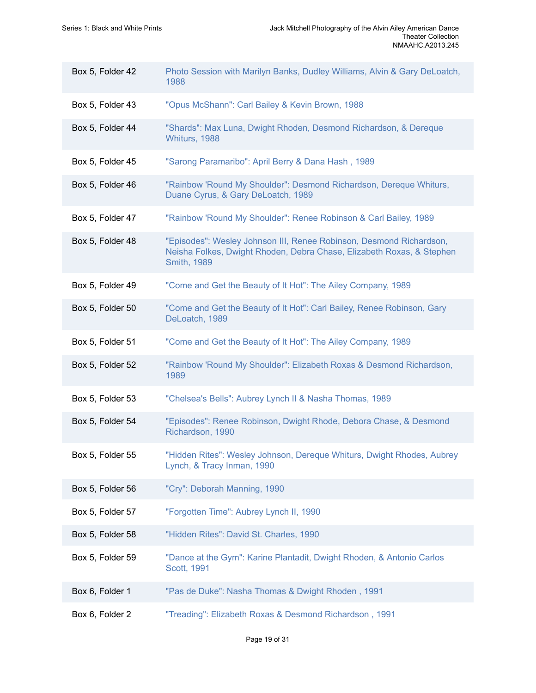| Box 5, Folder 42 | Photo Session with Marilyn Banks, Dudley Williams, Alvin & Gary DeLoatch,<br>1988                                                                                  |
|------------------|--------------------------------------------------------------------------------------------------------------------------------------------------------------------|
| Box 5, Folder 43 | "Opus McShann": Carl Bailey & Kevin Brown, 1988                                                                                                                    |
| Box 5, Folder 44 | "Shards": Max Luna, Dwight Rhoden, Desmond Richardson, & Dereque<br>Whiturs, 1988                                                                                  |
| Box 5, Folder 45 | "Sarong Paramaribo": April Berry & Dana Hash, 1989                                                                                                                 |
| Box 5, Folder 46 | "Rainbow 'Round My Shoulder": Desmond Richardson, Dereque Whiturs,<br>Duane Cyrus, & Gary DeLoatch, 1989                                                           |
| Box 5, Folder 47 | "Rainbow 'Round My Shoulder": Renee Robinson & Carl Bailey, 1989                                                                                                   |
| Box 5, Folder 48 | "Episodes": Wesley Johnson III, Renee Robinson, Desmond Richardson,<br>Neisha Folkes, Dwight Rhoden, Debra Chase, Elizabeth Roxas, & Stephen<br><b>Smith, 1989</b> |
| Box 5, Folder 49 | "Come and Get the Beauty of It Hot": The Ailey Company, 1989                                                                                                       |
| Box 5, Folder 50 | "Come and Get the Beauty of It Hot": Carl Bailey, Renee Robinson, Gary<br>DeLoatch, 1989                                                                           |
| Box 5, Folder 51 | "Come and Get the Beauty of It Hot": The Ailey Company, 1989                                                                                                       |
| Box 5, Folder 52 | "Rainbow 'Round My Shoulder": Elizabeth Roxas & Desmond Richardson,<br>1989                                                                                        |
| Box 5, Folder 53 | "Chelsea's Bells": Aubrey Lynch II & Nasha Thomas, 1989                                                                                                            |
| Box 5, Folder 54 | "Episodes": Renee Robinson, Dwight Rhode, Debora Chase, & Desmond<br>Richardson, 1990                                                                              |
| Box 5, Folder 55 | "Hidden Rites": Wesley Johnson, Dereque Whiturs, Dwight Rhodes, Aubrey<br>Lynch, & Tracy Inman, 1990                                                               |
| Box 5, Folder 56 | "Cry": Deborah Manning, 1990                                                                                                                                       |
| Box 5, Folder 57 | "Forgotten Time": Aubrey Lynch II, 1990                                                                                                                            |
| Box 5, Folder 58 | "Hidden Rites": David St. Charles, 1990                                                                                                                            |
| Box 5, Folder 59 | "Dance at the Gym": Karine Plantadit, Dwight Rhoden, & Antonio Carlos<br>Scott, 1991                                                                               |
| Box 6, Folder 1  | "Pas de Duke": Nasha Thomas & Dwight Rhoden, 1991                                                                                                                  |
| Box 6, Folder 2  | "Treading": Elizabeth Roxas & Desmond Richardson, 1991                                                                                                             |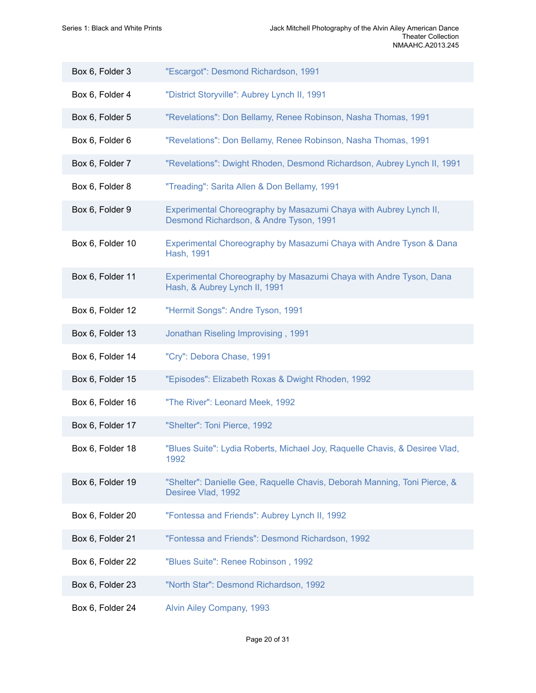| Box 6, Folder 3  | "Escargot": Desmond Richardson, 1991                                                                         |
|------------------|--------------------------------------------------------------------------------------------------------------|
| Box 6, Folder 4  | "District Storyville": Aubrey Lynch II, 1991                                                                 |
| Box 6, Folder 5  | "Revelations": Don Bellamy, Renee Robinson, Nasha Thomas, 1991                                               |
| Box 6, Folder 6  | "Revelations": Don Bellamy, Renee Robinson, Nasha Thomas, 1991                                               |
| Box 6, Folder 7  | "Revelations": Dwight Rhoden, Desmond Richardson, Aubrey Lynch II, 1991                                      |
| Box 6, Folder 8  | "Treading": Sarita Allen & Don Bellamy, 1991                                                                 |
| Box 6, Folder 9  | Experimental Choreography by Masazumi Chaya with Aubrey Lynch II,<br>Desmond Richardson, & Andre Tyson, 1991 |
| Box 6, Folder 10 | Experimental Choreography by Masazumi Chaya with Andre Tyson & Dana<br>Hash, 1991                            |
| Box 6, Folder 11 | Experimental Choreography by Masazumi Chaya with Andre Tyson, Dana<br>Hash, & Aubrey Lynch II, 1991          |
| Box 6, Folder 12 | "Hermit Songs": Andre Tyson, 1991                                                                            |
| Box 6, Folder 13 | Jonathan Riseling Improvising, 1991                                                                          |
| Box 6, Folder 14 | "Cry": Debora Chase, 1991                                                                                    |
| Box 6, Folder 15 | "Episodes": Elizabeth Roxas & Dwight Rhoden, 1992                                                            |
| Box 6, Folder 16 | "The River": Leonard Meek, 1992                                                                              |
| Box 6, Folder 17 | "Shelter": Toni Pierce, 1992                                                                                 |
| Box 6, Folder 18 | "Blues Suite": Lydia Roberts, Michael Joy, Raquelle Chavis, & Desiree Vlad,<br>1992                          |
| Box 6, Folder 19 | "Shelter": Danielle Gee, Raquelle Chavis, Deborah Manning, Toni Pierce, &<br>Desiree Vlad, 1992              |
| Box 6, Folder 20 | "Fontessa and Friends": Aubrey Lynch II, 1992                                                                |
| Box 6, Folder 21 | "Fontessa and Friends": Desmond Richardson, 1992                                                             |
| Box 6, Folder 22 | "Blues Suite": Renee Robinson, 1992                                                                          |
| Box 6, Folder 23 | "North Star": Desmond Richardson, 1992                                                                       |
| Box 6, Folder 24 | Alvin Ailey Company, 1993                                                                                    |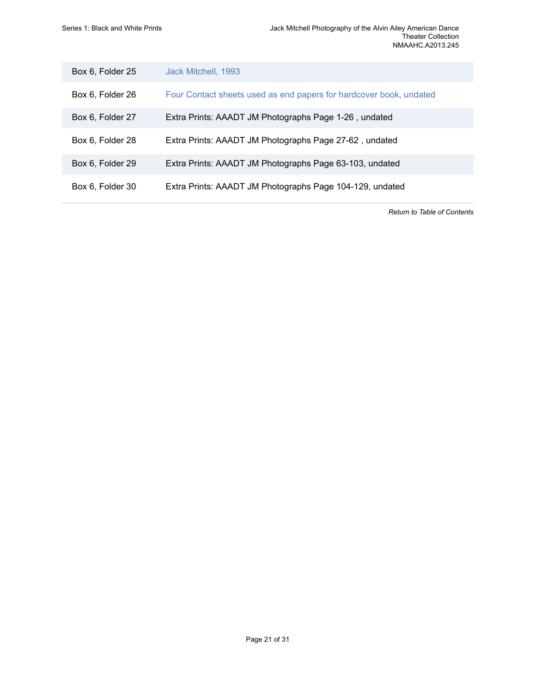| Box 6, Folder 25 | Jack Mitchell, 1993                                                |
|------------------|--------------------------------------------------------------------|
| Box 6, Folder 26 | Four Contact sheets used as end papers for hardcover book, undated |
| Box 6, Folder 27 | Extra Prints: AAADT JM Photographs Page 1-26, undated              |
| Box 6, Folder 28 | Extra Prints: AAADT JM Photographs Page 27-62, undated             |
| Box 6, Folder 29 | Extra Prints: AAADT JM Photographs Page 63-103, undated            |
| Box 6, Folder 30 | Extra Prints: AAADT JM Photographs Page 104-129, undated           |

*Return to Table of [Contents](#page-1-0)*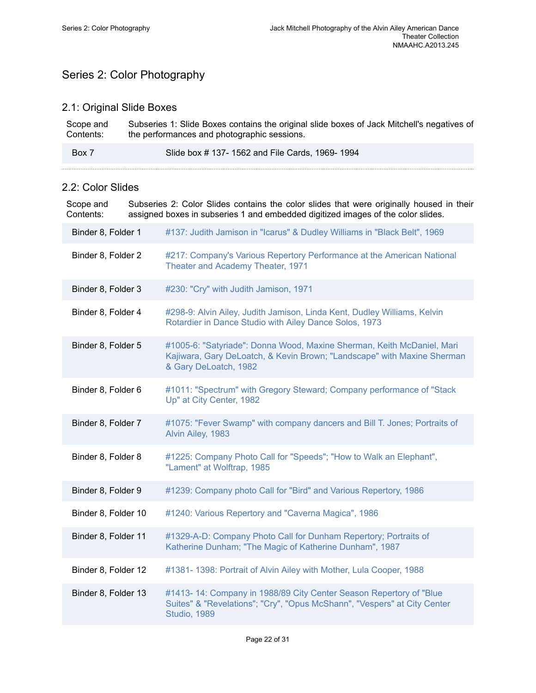# <span id="page-23-0"></span>Series 2: Color Photography

### 2.1: Original Slide Boxes

| Scope and | Subseries 1: Slide Boxes contains the original slide boxes of Jack Mitchell's negatives of |
|-----------|--------------------------------------------------------------------------------------------|
| Contents: | the performances and photographic sessions.                                                |
| Box 7     | Slide box #137-1562 and File Cards, 1969-1994                                              |

### 2.2: Color Slides

Scope and Contents: Subseries 2: Color Slides contains the color slides that were originally housed in their assigned boxes in subseries 1 and embedded digitized images of the color slides.

| Binder 8, Folder 1  | #137: Judith Jamison in "Icarus" & Dudley Williams in "Black Belt", 1969                                                                                                   |
|---------------------|----------------------------------------------------------------------------------------------------------------------------------------------------------------------------|
| Binder 8, Folder 2  | #217: Company's Various Repertory Performance at the American National<br>Theater and Academy Theater, 1971                                                                |
| Binder 8, Folder 3  | #230: "Cry" with Judith Jamison, 1971                                                                                                                                      |
| Binder 8, Folder 4  | #298-9: Alvin Ailey, Judith Jamison, Linda Kent, Dudley Williams, Kelvin<br>Rotardier in Dance Studio with Ailey Dance Solos, 1973                                         |
| Binder 8, Folder 5  | #1005-6: "Satyriade": Donna Wood, Maxine Sherman, Keith McDaniel, Mari<br>Kajiwara, Gary DeLoatch, & Kevin Brown; "Landscape" with Maxine Sherman<br>& Gary DeLoatch, 1982 |
| Binder 8, Folder 6  | #1011: "Spectrum" with Gregory Steward; Company performance of "Stack<br>Up" at City Center, 1982                                                                          |
| Binder 8, Folder 7  | #1075: "Fever Swamp" with company dancers and Bill T. Jones; Portraits of<br>Alvin Ailey, 1983                                                                             |
| Binder 8, Folder 8  | #1225: Company Photo Call for "Speeds"; "How to Walk an Elephant",<br>"Lament" at Wolftrap, 1985                                                                           |
| Binder 8, Folder 9  | #1239: Company photo Call for "Bird" and Various Repertory, 1986                                                                                                           |
| Binder 8, Folder 10 | #1240: Various Repertory and "Caverna Magica", 1986                                                                                                                        |
| Binder 8, Folder 11 | #1329-A-D: Company Photo Call for Dunham Repertory; Portraits of<br>Katherine Dunham; "The Magic of Katherine Dunham", 1987                                                |
| Binder 8, Folder 12 | #1381-1398: Portrait of Alvin Ailey with Mother, Lula Cooper, 1988                                                                                                         |
| Binder 8, Folder 13 | #1413-14: Company in 1988/89 City Center Season Repertory of "Blue"<br>Suites" & "Revelations"; "Cry", "Opus McShann", "Vespers" at City Center<br>Studio, 1989            |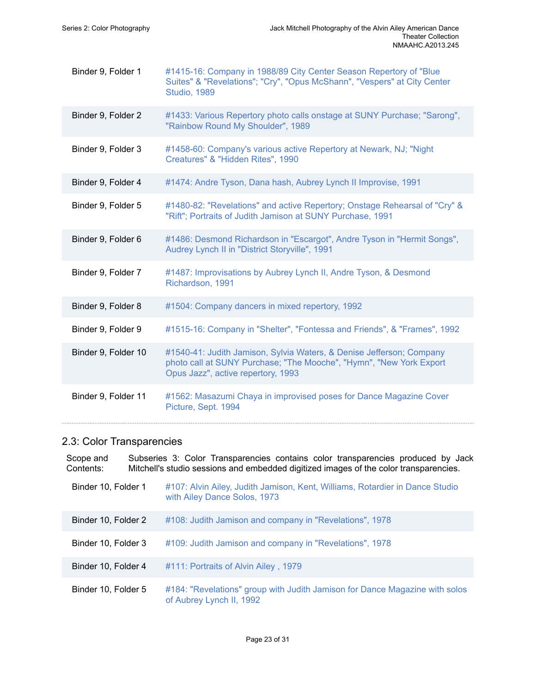| Binder 9, Folder 1  | #1415-16: Company in 1988/89 City Center Season Repertory of "Blue<br>Suites" & "Revelations"; "Cry", "Opus McShann", "Vespers" at City Center<br><b>Studio, 1989</b>             |
|---------------------|-----------------------------------------------------------------------------------------------------------------------------------------------------------------------------------|
| Binder 9, Folder 2  | #1433: Various Repertory photo calls onstage at SUNY Purchase; "Sarong",<br>"Rainbow Round My Shoulder", 1989                                                                     |
| Binder 9, Folder 3  | #1458-60: Company's various active Repertory at Newark, NJ; "Night<br>Creatures" & "Hidden Rites", 1990                                                                           |
| Binder 9, Folder 4  | #1474: Andre Tyson, Dana hash, Aubrey Lynch II Improvise, 1991                                                                                                                    |
| Binder 9, Folder 5  | #1480-82: "Revelations" and active Repertory; Onstage Rehearsal of "Cry" &<br>"Rift"; Portraits of Judith Jamison at SUNY Purchase, 1991                                          |
| Binder 9, Folder 6  | #1486: Desmond Richardson in "Escargot", Andre Tyson in "Hermit Songs",<br>Audrey Lynch II in "District Storyville", 1991                                                         |
| Binder 9, Folder 7  | #1487: Improvisations by Aubrey Lynch II, Andre Tyson, & Desmond<br>Richardson, 1991                                                                                              |
| Binder 9, Folder 8  | #1504: Company dancers in mixed repertory, 1992                                                                                                                                   |
| Binder 9, Folder 9  | #1515-16: Company in "Shelter", "Fontessa and Friends", & "Frames", 1992                                                                                                          |
| Binder 9, Folder 10 | #1540-41: Judith Jamison, Sylvia Waters, & Denise Jefferson; Company<br>photo call at SUNY Purchase; "The Mooche", "Hymn", "New York Export<br>Opus Jazz", active repertory, 1993 |
| Binder 9, Folder 11 | #1562: Masazumi Chaya in improvised poses for Dance Magazine Cover<br>Picture, Sept. 1994                                                                                         |

# 2.3: Color Transparencies

| Scope and<br>Contents: | Subseries 3: Color Transparencies contains color transparencies produced by Jack<br>Mitchell's studio sessions and embedded digitized images of the color transparencies. |
|------------------------|---------------------------------------------------------------------------------------------------------------------------------------------------------------------------|
| Binder 10, Folder 1    | #107: Alvin Ailey, Judith Jamison, Kent, Williams, Rotardier in Dance Studio<br>with Ailey Dance Solos, 1973                                                              |
| Binder 10, Folder 2    | #108: Judith Jamison and company in "Revelations", 1978                                                                                                                   |
| Binder 10, Folder 3    | #109: Judith Jamison and company in "Revelations", 1978                                                                                                                   |
| Binder 10, Folder 4    | #111: Portraits of Alvin Ailey, 1979                                                                                                                                      |
| Binder 10, Folder 5    | #184: "Revelations" group with Judith Jamison for Dance Magazine with solos<br>of Aubrey Lynch II, 1992                                                                   |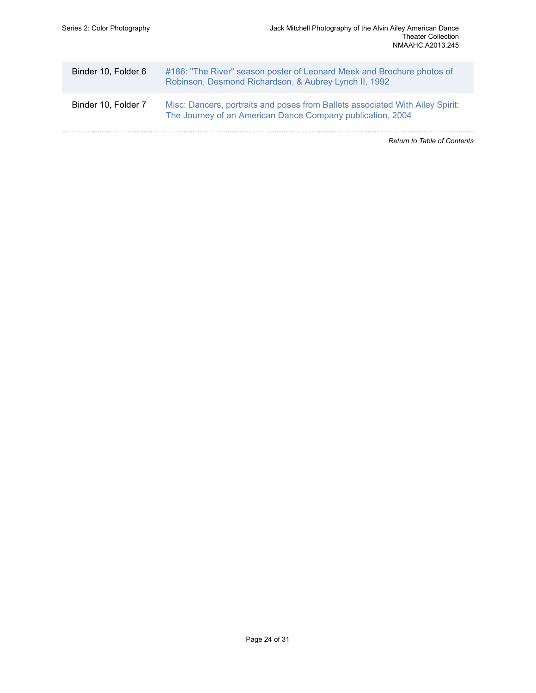|                     | <b>Return to Table of Contents</b>                                                                                                          |
|---------------------|---------------------------------------------------------------------------------------------------------------------------------------------|
| Binder 10, Folder 7 | Misc: Dancers, portraits and poses from Ballets associated With Ailey Spirit:<br>The Journey of an American Dance Company publication, 2004 |
| Binder 10, Folder 6 | #186: "The River" season poster of Leonard Meek and Brochure photos of<br>Robinson, Desmond Richardson, & Aubrey Lynch II, 1992             |
|                     |                                                                                                                                             |

Page 24 of 31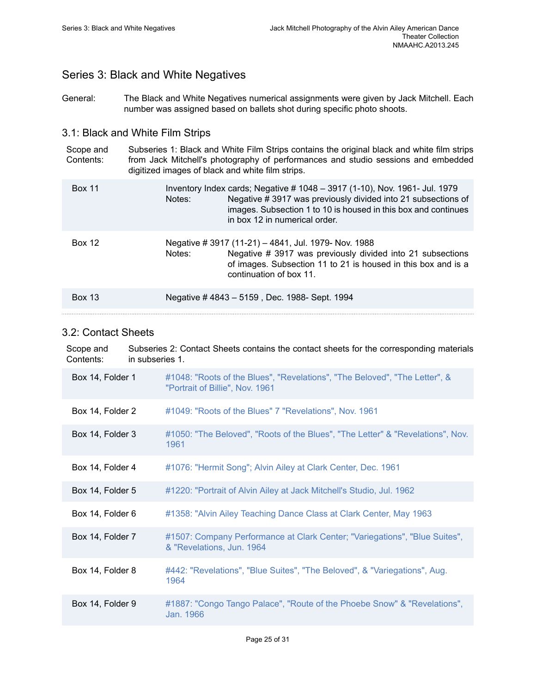images. Subsection 1 to 10 is housed in this box and continues

## <span id="page-26-0"></span>Series 3: Black and White Negatives

General: The Black and White Negatives numerical assignments were given by Jack Mitchell. Each number was assigned based on ballets shot during specific photo shoots.

### 3.1: Black and White Film Strips

Scope and Contents: Subseries 1: Black and White Film Strips contains the original black and white film strips from Jack Mitchell's photography of performances and studio sessions and embedded digitized images of black and white film strips. Box 11 Inventory Index cards; Negative # 1048 – 3917 (1-10), Nov. 1961- Jul. 1979 Notes: Negative # 3917 was previously divided into 21 subsections of

in box 12 in numerical order.

| <b>Box 12</b> | Negative # 3917 (11-21) – 4841, Jul. 1979- Nov. 1988<br>Negative # 3917 was previously divided into 21 subsections<br>Notes:<br>of images. Subsection 11 to 21 is housed in this box and is a<br>continuation of box 11. |
|---------------|--------------------------------------------------------------------------------------------------------------------------------------------------------------------------------------------------------------------------|
| <b>Box 13</b> | Negative #4843 - 5159, Dec. 1988- Sept. 1994                                                                                                                                                                             |

#### 3.2: Contact Sheets

| Scope and<br>Contents: | Subseries 2: Contact Sheets contains the contact sheets for the corresponding materials<br>in subseries 1.    |  |
|------------------------|---------------------------------------------------------------------------------------------------------------|--|
| Box 14, Folder 1       | #1048: "Roots of the Blues", "Revelations", "The Beloved", "The Letter", &<br>"Portrait of Billie", Nov. 1961 |  |
| Box 14, Folder 2       | #1049: "Roots of the Blues" 7 "Revelations", Nov. 1961                                                        |  |
| Box 14, Folder 3       | #1050: "The Beloved", "Roots of the Blues", "The Letter" & "Revelations", Nov.<br>1961                        |  |
| Box 14, Folder 4       | #1076: "Hermit Song"; Alvin Ailey at Clark Center, Dec. 1961                                                  |  |
| Box 14, Folder 5       | #1220: "Portrait of Alvin Ailey at Jack Mitchell's Studio, Jul. 1962                                          |  |
| Box 14, Folder 6       | #1358: "Alvin Ailey Teaching Dance Class at Clark Center, May 1963                                            |  |
| Box 14, Folder 7       | #1507: Company Performance at Clark Center; "Variegations", "Blue Suites",<br>& "Revelations, Jun. 1964       |  |
| Box 14, Folder 8       | #442: "Revelations", "Blue Suites", "The Beloved", & "Variegations", Aug.<br>1964                             |  |
| Box 14, Folder 9       | #1887: "Congo Tango Palace", "Route of the Phoebe Snow" & "Revelations",<br>Jan. 1966                         |  |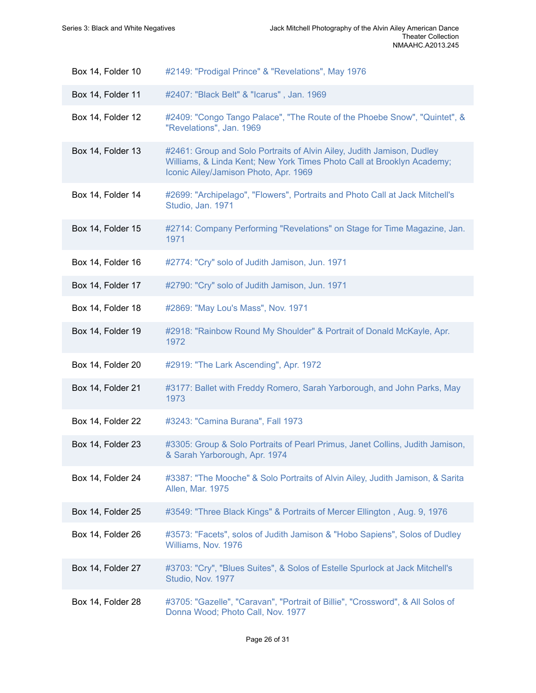| Box 14, Folder 10 | #2149: "Prodigal Prince" & "Revelations", May 1976                                                                                                                                        |
|-------------------|-------------------------------------------------------------------------------------------------------------------------------------------------------------------------------------------|
| Box 14, Folder 11 | #2407: "Black Belt" & "Icarus", Jan. 1969                                                                                                                                                 |
| Box 14, Folder 12 | #2409: "Congo Tango Palace", "The Route of the Phoebe Snow", "Quintet", &<br>"Revelations", Jan. 1969                                                                                     |
| Box 14, Folder 13 | #2461: Group and Solo Portraits of Alvin Ailey, Judith Jamison, Dudley<br>Williams, & Linda Kent; New York Times Photo Call at Brooklyn Academy;<br>Iconic Ailey/Jamison Photo, Apr. 1969 |
| Box 14, Folder 14 | #2699: "Archipelago", "Flowers", Portraits and Photo Call at Jack Mitchell's<br>Studio, Jan. 1971                                                                                         |
| Box 14, Folder 15 | #2714: Company Performing "Revelations" on Stage for Time Magazine, Jan.<br>1971                                                                                                          |
| Box 14, Folder 16 | #2774: "Cry" solo of Judith Jamison, Jun. 1971                                                                                                                                            |
| Box 14, Folder 17 | #2790: "Cry" solo of Judith Jamison, Jun. 1971                                                                                                                                            |
| Box 14, Folder 18 | #2869: "May Lou's Mass", Nov. 1971                                                                                                                                                        |
| Box 14, Folder 19 | #2918: "Rainbow Round My Shoulder" & Portrait of Donald McKayle, Apr.<br>1972                                                                                                             |
| Box 14, Folder 20 | #2919: "The Lark Ascending", Apr. 1972                                                                                                                                                    |
| Box 14, Folder 21 | #3177: Ballet with Freddy Romero, Sarah Yarborough, and John Parks, May<br>1973                                                                                                           |
| Box 14, Folder 22 | #3243: "Camina Burana", Fall 1973                                                                                                                                                         |
| Box 14, Folder 23 | #3305: Group & Solo Portraits of Pearl Primus, Janet Collins, Judith Jamison,<br>& Sarah Yarborough, Apr. 1974                                                                            |
| Box 14, Folder 24 | #3387: "The Mooche" & Solo Portraits of Alvin Ailey, Judith Jamison, & Sarita<br>Allen, Mar. 1975                                                                                         |
| Box 14, Folder 25 | #3549: "Three Black Kings" & Portraits of Mercer Ellington, Aug. 9, 1976                                                                                                                  |
| Box 14, Folder 26 | #3573: "Facets", solos of Judith Jamison & "Hobo Sapiens", Solos of Dudley<br>Williams, Nov. 1976                                                                                         |
| Box 14, Folder 27 | #3703: "Cry", "Blues Suites", & Solos of Estelle Spurlock at Jack Mitchell's<br>Studio, Nov. 1977                                                                                         |
|                   |                                                                                                                                                                                           |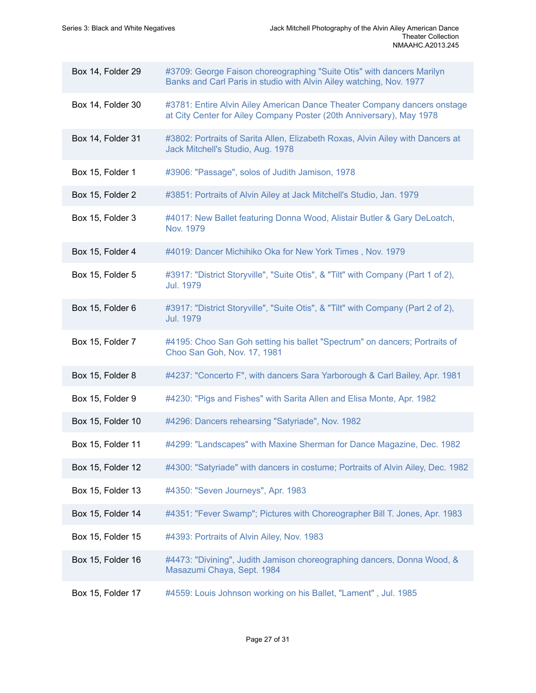| Box 14, Folder 29 | #3709: George Faison choreographing "Suite Otis" with dancers Marilyn<br>Banks and Carl Paris in studio with Alvin Ailey watching, Nov. 1977     |
|-------------------|--------------------------------------------------------------------------------------------------------------------------------------------------|
| Box 14, Folder 30 | #3781: Entire Alvin Ailey American Dance Theater Company dancers onstage<br>at City Center for Ailey Company Poster (20th Anniversary), May 1978 |
| Box 14, Folder 31 | #3802: Portraits of Sarita Allen, Elizabeth Roxas, Alvin Ailey with Dancers at<br>Jack Mitchell's Studio, Aug. 1978                              |
| Box 15, Folder 1  | #3906: "Passage", solos of Judith Jamison, 1978                                                                                                  |
| Box 15, Folder 2  | #3851: Portraits of Alvin Ailey at Jack Mitchell's Studio, Jan. 1979                                                                             |
| Box 15, Folder 3  | #4017: New Ballet featuring Donna Wood, Alistair Butler & Gary DeLoatch,<br>Nov. 1979                                                            |
| Box 15, Folder 4  | #4019: Dancer Michihiko Oka for New York Times, Nov. 1979                                                                                        |
| Box 15, Folder 5  | #3917: "District Storyville", "Suite Otis", & "Tilt" with Company (Part 1 of 2),<br><b>Jul. 1979</b>                                             |
| Box 15, Folder 6  | #3917: "District Storyville", "Suite Otis", & "Tilt" with Company (Part 2 of 2),<br><b>Jul. 1979</b>                                             |
| Box 15, Folder 7  | #4195: Choo San Goh setting his ballet "Spectrum" on dancers; Portraits of<br>Choo San Goh, Nov. 17, 1981                                        |
| Box 15, Folder 8  | #4237: "Concerto F", with dancers Sara Yarborough & Carl Bailey, Apr. 1981                                                                       |
| Box 15, Folder 9  | #4230: "Pigs and Fishes" with Sarita Allen and Elisa Monte, Apr. 1982                                                                            |
| Box 15, Folder 10 | #4296: Dancers rehearsing "Satyriade", Nov. 1982                                                                                                 |
| Box 15, Folder 11 | #4299: "Landscapes" with Maxine Sherman for Dance Magazine, Dec. 1982                                                                            |
| Box 15, Folder 12 | #4300: "Satyriade" with dancers in costume; Portraits of Alvin Ailey, Dec. 1982                                                                  |
| Box 15, Folder 13 | #4350: "Seven Journeys", Apr. 1983                                                                                                               |
| Box 15, Folder 14 | #4351: "Fever Swamp"; Pictures with Choreographer Bill T. Jones, Apr. 1983                                                                       |
| Box 15, Folder 15 | #4393: Portraits of Alvin Ailey, Nov. 1983                                                                                                       |
| Box 15, Folder 16 | #4473: "Divining", Judith Jamison choreographing dancers, Donna Wood, &<br>Masazumi Chaya, Sept. 1984                                            |
| Box 15, Folder 17 | #4559: Louis Johnson working on his Ballet, "Lament", Jul. 1985                                                                                  |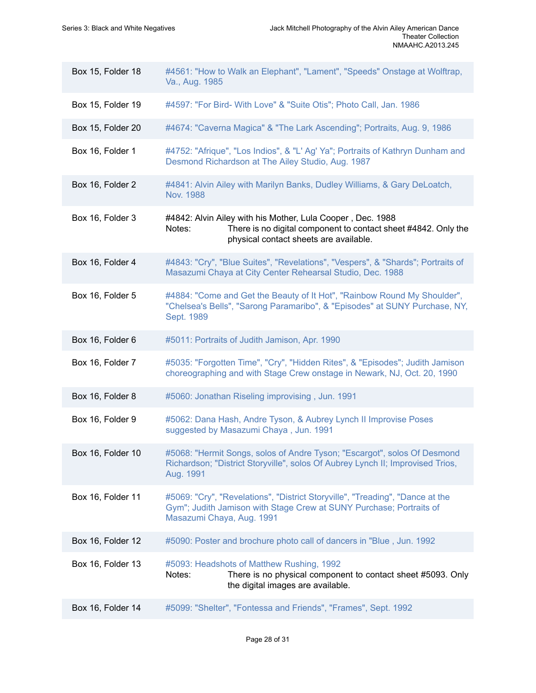| Box 15, Folder 18 | #4561: "How to Walk an Elephant", "Lament", "Speeds" Onstage at Wolftrap,<br>Va., Aug. 1985                                                                                       |
|-------------------|-----------------------------------------------------------------------------------------------------------------------------------------------------------------------------------|
| Box 15, Folder 19 | #4597: "For Bird- With Love" & "Suite Otis"; Photo Call, Jan. 1986                                                                                                                |
| Box 15, Folder 20 | #4674: "Caverna Magica" & "The Lark Ascending"; Portraits, Aug. 9, 1986                                                                                                           |
| Box 16, Folder 1  | #4752: "Afrique", "Los Indios", & "L' Ag' Ya"; Portraits of Kathryn Dunham and<br>Desmond Richardson at The Ailey Studio, Aug. 1987                                               |
| Box 16, Folder 2  | #4841: Alvin Ailey with Marilyn Banks, Dudley Williams, & Gary DeLoatch,<br>Nov. 1988                                                                                             |
| Box 16, Folder 3  | #4842: Alvin Ailey with his Mother, Lula Cooper, Dec. 1988<br>There is no digital component to contact sheet #4842. Only the<br>Notes:<br>physical contact sheets are available.  |
| Box 16, Folder 4  | #4843: "Cry", "Blue Suites", "Revelations", "Vespers", & "Shards"; Portraits of<br>Masazumi Chaya at City Center Rehearsal Studio, Dec. 1988                                      |
| Box 16, Folder 5  | #4884: "Come and Get the Beauty of It Hot", "Rainbow Round My Shoulder",<br>"Chelsea's Bells", "Sarong Paramaribo", & "Episodes" at SUNY Purchase, NY,<br>Sept. 1989              |
| Box 16, Folder 6  | #5011: Portraits of Judith Jamison, Apr. 1990                                                                                                                                     |
| Box 16, Folder 7  | #5035: "Forgotten Time", "Cry", "Hidden Rites", & "Episodes"; Judith Jamison<br>choreographing and with Stage Crew onstage in Newark, NJ, Oct. 20, 1990                           |
| Box 16, Folder 8  | #5060: Jonathan Riseling improvising, Jun. 1991                                                                                                                                   |
| Box 16, Folder 9  | #5062: Dana Hash, Andre Tyson, & Aubrey Lynch II Improvise Poses<br>suggested by Masazumi Chaya, Jun. 1991                                                                        |
| Box 16, Folder 10 | #5068: "Hermit Songs, solos of Andre Tyson; "Escargot", solos Of Desmond<br>Richardson; "District Storyville", solos Of Aubrey Lynch II; Improvised Trios,<br>Aug. 1991           |
| Box 16, Folder 11 | #5069: "Cry", "Revelations", "District Storyville", "Treading", "Dance at the<br>Gym"; Judith Jamison with Stage Crew at SUNY Purchase; Portraits of<br>Masazumi Chaya, Aug. 1991 |
| Box 16, Folder 12 | #5090: Poster and brochure photo call of dancers in "Blue, Jun. 1992                                                                                                              |
| Box 16, Folder 13 | #5093: Headshots of Matthew Rushing, 1992<br>There is no physical component to contact sheet #5093. Only<br>Notes:<br>the digital images are available.                           |
| Box 16, Folder 14 | #5099: "Shelter", "Fontessa and Friends", "Frames", Sept. 1992                                                                                                                    |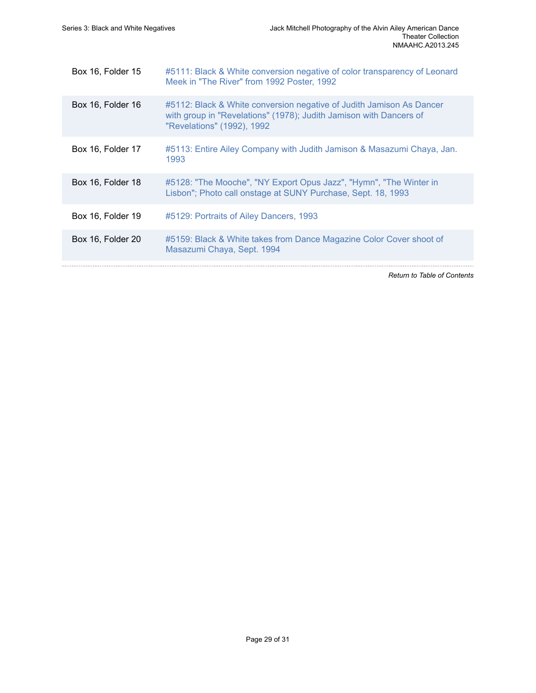| Box 16, Folder 15 | #5111: Black & White conversion negative of color transparency of Leonard<br>Meek in "The River" from 1992 Poster, 1992                                                  |
|-------------------|--------------------------------------------------------------------------------------------------------------------------------------------------------------------------|
| Box 16, Folder 16 | #5112: Black & White conversion negative of Judith Jamison As Dancer<br>with group in "Revelations" (1978); Judith Jamison with Dancers of<br>"Revelations" (1992), 1992 |
| Box 16, Folder 17 | #5113: Entire Ailey Company with Judith Jamison & Masazumi Chaya, Jan.<br>1993                                                                                           |
| Box 16, Folder 18 | #5128: "The Mooche", "NY Export Opus Jazz", "Hymn", "The Winter in<br>Lisbon"; Photo call onstage at SUNY Purchase, Sept. 18, 1993                                       |
| Box 16, Folder 19 | #5129: Portraits of Ailey Dancers, 1993                                                                                                                                  |
| Box 16, Folder 20 | #5159: Black & White takes from Dance Magazine Color Cover shoot of<br>Masazumi Chaya, Sept. 1994                                                                        |
|                   | <b>Return to Table of Contents</b>                                                                                                                                       |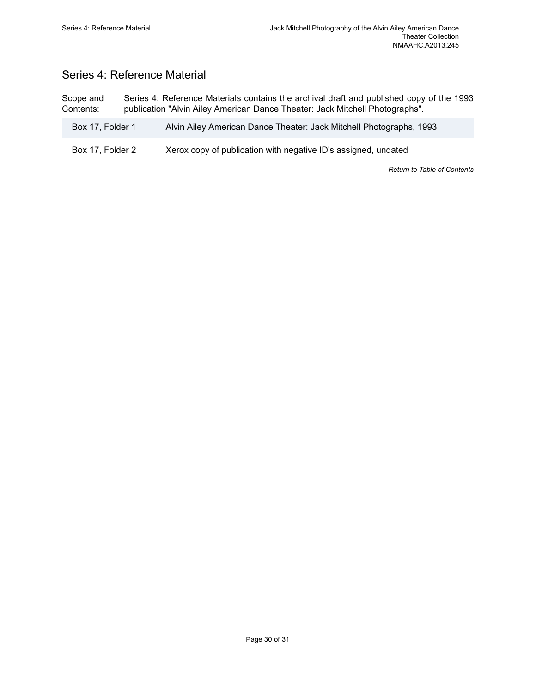# <span id="page-31-0"></span>Series 4: Reference Material

Scope and Contents: Series 4: Reference Materials contains the archival draft and published copy of the 1993 publication "Alvin Ailey American Dance Theater: Jack Mitchell Photographs".

- Box 17, Folder 1 Alvin Ailey American Dance Theater: Jack Mitchell Photographs, 1993
- Box 17, Folder 2 Xerox copy of publication with negative ID's assigned, undated

*Return to Table of [Contents](#page-1-0)*